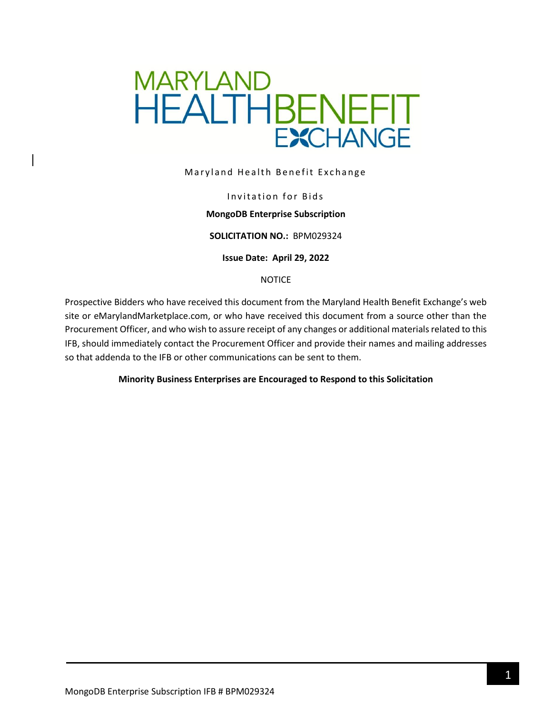

Maryland Health Benefit Exchange

#### Invitation for Bids

#### **MongoDB Enterprise Subscription**

#### **SOLICITATION NO.:** BPM029324

**Issue Date: April 29, 2022**

#### NOTICE

Prospective Bidders who have received this document from the Maryland Health Benefit Exchange's web site or eMarylandMarketplace.com, or who have received this document from a source other than the Procurement Officer, and who wish to assure receipt of any changes or additional materials related to this IFB, should immediately contact the Procurement Officer and provide their names and mailing addresses so that addenda to the IFB or other communications can be sent to them.

#### **Minority Business Enterprises are Encouraged to Respond to this Solicitation**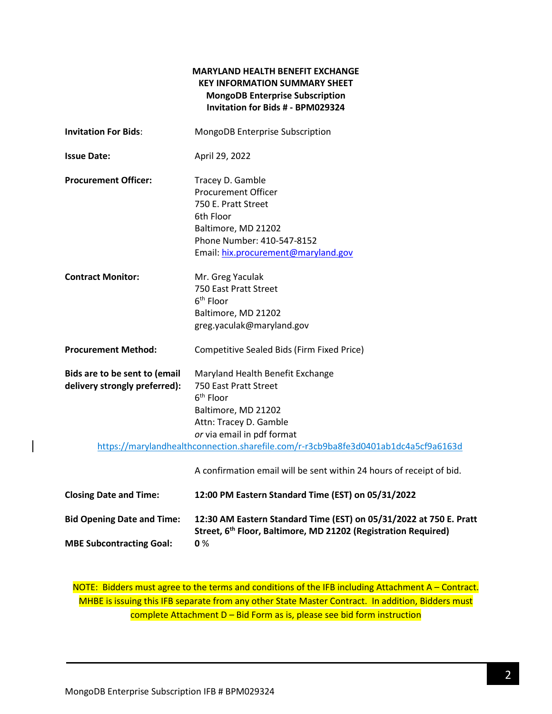### **MARYLAND HEALTH BENEFIT EXCHANGE KEY INFORMATION SUMMARY SHEET MongoDB Enterprise Subscription Invitation for Bids # - BPM029324**

| <b>Invitation For Bids:</b>                                    | MongoDB Enterprise Subscription                                                                                                                                                                                                                                                                                                 |  |
|----------------------------------------------------------------|---------------------------------------------------------------------------------------------------------------------------------------------------------------------------------------------------------------------------------------------------------------------------------------------------------------------------------|--|
| <b>Issue Date:</b>                                             | April 29, 2022                                                                                                                                                                                                                                                                                                                  |  |
| <b>Procurement Officer:</b>                                    | Tracey D. Gamble<br><b>Procurement Officer</b><br>750 E. Pratt Street<br>6th Floor<br>Baltimore, MD 21202<br>Phone Number: 410-547-8152<br>Email: hix.procurement@maryland.gov                                                                                                                                                  |  |
| <b>Contract Monitor:</b>                                       | Mr. Greg Yaculak<br>750 East Pratt Street<br>6 <sup>th</sup> Floor<br>Baltimore, MD 21202<br>greg.yaculak@maryland.gov                                                                                                                                                                                                          |  |
| <b>Procurement Method:</b>                                     | Competitive Sealed Bids (Firm Fixed Price)                                                                                                                                                                                                                                                                                      |  |
| Bids are to be sent to (email<br>delivery strongly preferred): | Maryland Health Benefit Exchange<br>750 East Pratt Street<br>6 <sup>th</sup> Floor<br>Baltimore, MD 21202<br>Attn: Tracey D. Gamble<br>or via email in pdf format<br>https://marylandhealthconnection.sharefile.com/r-r3cb9ba8fe3d0401ab1dc4a5cf9a6163d<br>A confirmation email will be sent within 24 hours of receipt of bid. |  |
| <b>Closing Date and Time:</b>                                  | 12:00 PM Eastern Standard Time (EST) on 05/31/2022                                                                                                                                                                                                                                                                              |  |
| <b>Bid Opening Date and Time:</b>                              | 12:30 AM Eastern Standard Time (EST) on 05/31/2022 at 750 E. Pratt                                                                                                                                                                                                                                                              |  |

**Street, 6 th Floor, Baltimore, MD 21202 (Registration Required) MBE Subcontracting Goal: 0** %

NOTE: Bidders must agree to the terms and conditions of the IFB including Attachment A – Contract. MHBE is issuing this IFB separate from any other State Master Contract. In addition, Bidders must complete Attachment D – Bid Form as is, please see bid form instruction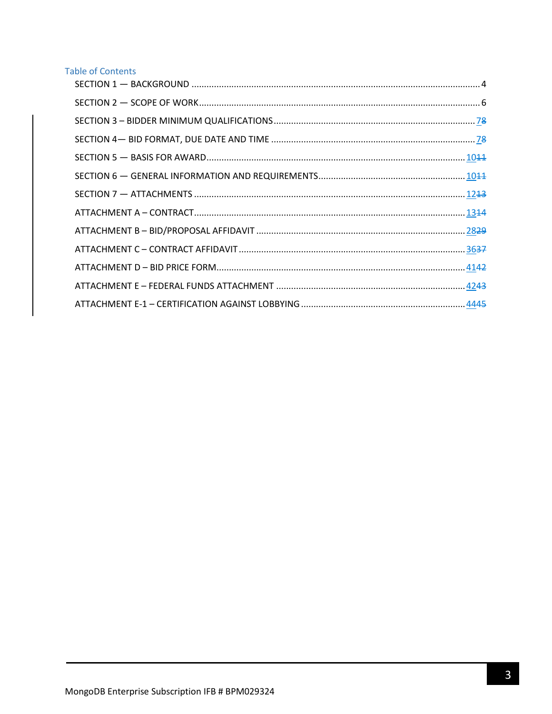# **Table of Contents**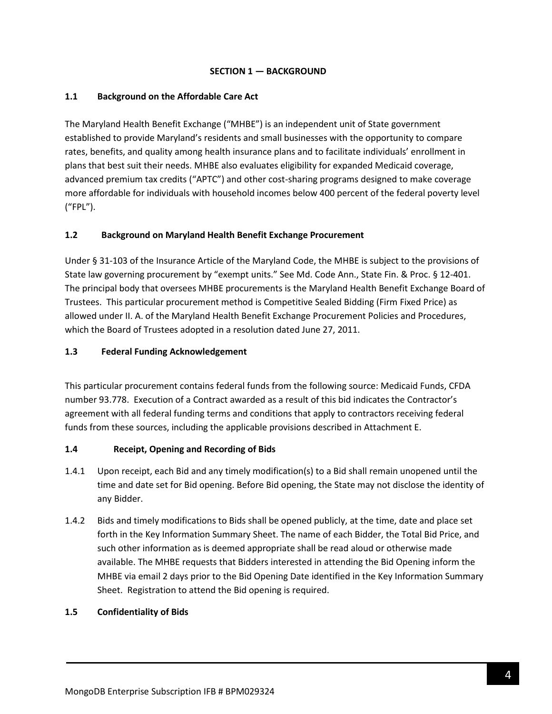### **SECTION 1 — BACKGROUND**

### <span id="page-3-0"></span>**1.1 Background on the Affordable Care Act**

The Maryland Health Benefit Exchange ("MHBE") is an independent unit of State government established to provide Maryland's residents and small businesses with the opportunity to compare rates, benefits, and quality among health insurance plans and to facilitate individuals' enrollment in plans that best suit their needs. MHBE also evaluates eligibility for expanded Medicaid coverage, advanced premium tax credits ("APTC") and other cost-sharing programs designed to make coverage more affordable for individuals with household incomes below 400 percent of the federal poverty level ("FPL").

# **1.2 Background on Maryland Health Benefit Exchange Procurement**

Under § 31-103 of the Insurance Article of the Maryland Code, the MHBE is subject to the provisions of State law governing procurement by "exempt units." See Md. Code Ann., State Fin. & Proc. § 12-401. The principal body that oversees MHBE procurements is the Maryland Health Benefit Exchange Board of Trustees. This particular procurement method is Competitive Sealed Bidding (Firm Fixed Price) as allowed under II. A. of the Maryland Health Benefit Exchange Procurement Policies and Procedures, which the Board of Trustees adopted in a resolution dated June 27, 2011.

### **1.3 Federal Funding Acknowledgement**

This particular procurement contains federal funds from the following source: Medicaid Funds, CFDA number 93.778. Execution of a Contract awarded as a result of this bid indicates the Contractor's agreement with all federal funding terms and conditions that apply to contractors receiving federal funds from these sources, including the applicable provisions described in Attachment E.

#### **1.4 Receipt, Opening and Recording of Bids**

- 1.4.1 Upon receipt, each Bid and any timely modification(s) to a Bid shall remain unopened until the time and date set for Bid opening. Before Bid opening, the State may not disclose the identity of any Bidder.
- 1.4.2 Bids and timely modifications to Bids shall be opened publicly, at the time, date and place set forth in the Key Information Summary Sheet. The name of each Bidder, the Total Bid Price, and such other information as is deemed appropriate shall be read aloud or otherwise made available. The MHBE requests that Bidders interested in attending the Bid Opening inform the MHBE via email 2 days prior to the Bid Opening Date identified in the Key Information Summary Sheet. Registration to attend the Bid opening is required.

#### **1.5 Confidentiality of Bids**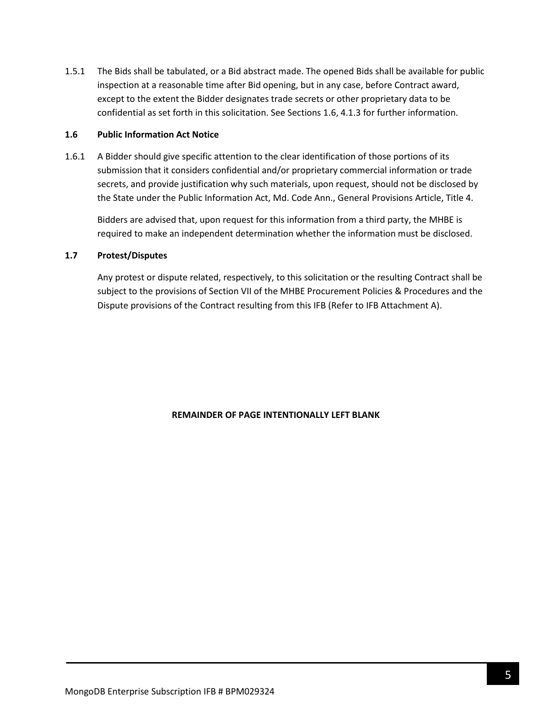1.5.1 The Bids shall be tabulated, or a Bid abstract made. The opened Bids shall be available for public inspection at a reasonable time after Bid opening, but in any case, before Contract award, except to the extent the Bidder designates trade secrets or other proprietary data to be confidential as set forth in this solicitation. See Sections 1.6, 4.1.3 for further information.

#### **1.6 Public Information Act Notice**

1.6.1 A Bidder should give specific attention to the clear identification of those portions of its submission that it considers confidential and/or proprietary commercial information or trade secrets, and provide justification why such materials, upon request, should not be disclosed by the State under the Public Information Act, Md. Code Ann., General Provisions Article, Title 4.

Bidders are advised that, upon request for this information from a third party, the MHBE is required to make an independent determination whether the information must be disclosed.

#### **1.7 Protest/Disputes**

Any protest or dispute related, respectively, to this solicitation or the resulting Contract shall be subject to the provisions of Section VII of the MHBE Procurement Policies & Procedures and the Dispute provisions of the Contract resulting from this IFB (Refer to IFB Attachment A).

#### **REMAINDER OF PAGE INTENTIONALLY LEFT BLANK**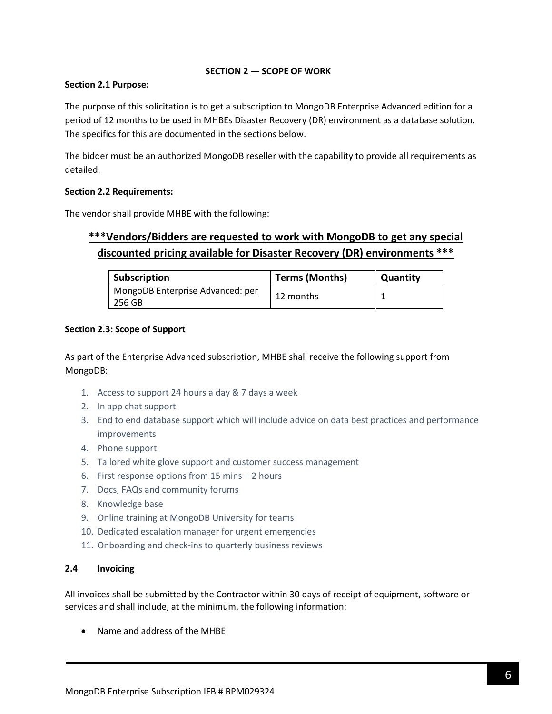### **SECTION 2 — SCOPE OF WORK**

### <span id="page-5-0"></span>**Section 2.1 Purpose:**

The purpose of this solicitation is to get a subscription to MongoDB Enterprise Advanced edition for a period of 12 months to be used in MHBEs Disaster Recovery (DR) environment as a database solution. The specifics for this are documented in the sections below.

The bidder must be an authorized MongoDB reseller with the capability to provide all requirements as detailed.

### **Section 2.2 Requirements:**

The vendor shall provide MHBE with the following:

# **\*\*\*Vendors/Bidders are requested to work with MongoDB to get any special discounted pricing available for Disaster Recovery (DR) environments \*\*\***

| <b>Subscription</b>                        | <b>Terms (Months)</b> | Quantity |
|--------------------------------------------|-----------------------|----------|
| MongoDB Enterprise Advanced: per<br>256 GB | 12 months             |          |

### **Section 2.3: Scope of Support**

As part of the Enterprise Advanced subscription, MHBE shall receive the following support from MongoDB:

- 1. Access to support 24 hours a day & 7 days a week
- 2. In app chat support
- 3. End to end database support which will include advice on data best practices and performance improvements
- 4. Phone support
- 5. Tailored white glove support and customer success management
- 6. First response options from 15 mins 2 hours
- 7. Docs, FAQs and community forums
- 8. Knowledge base
- 9. Online training at MongoDB University for teams
- 10. Dedicated escalation manager for urgent emergencies
- 11. Onboarding and check-ins to quarterly business reviews

#### **2.4 Invoicing**

All invoices shall be submitted by the Contractor within 30 days of receipt of equipment, software or services and shall include, at the minimum, the following information:

• Name and address of the MHBE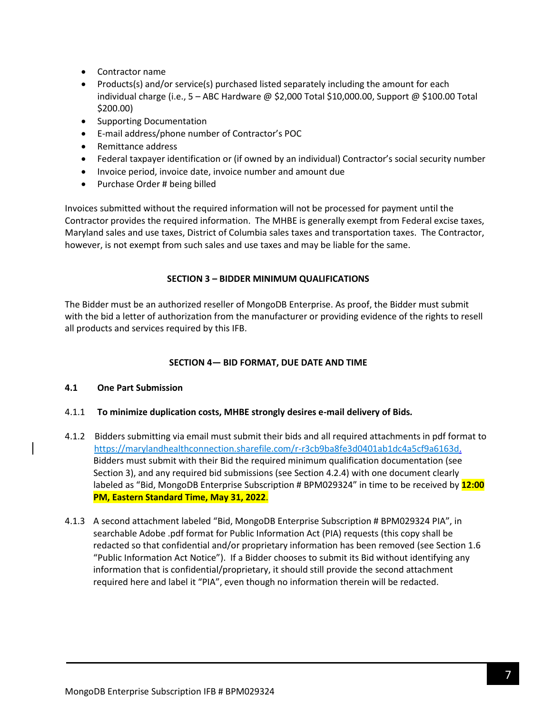- Contractor name
- Products(s) and/or service(s) purchased listed separately including the amount for each individual charge (i.e.,  $5 - ABC$  Hardware @ \$2,000 Total \$10,000.00, Support @ \$100.00 Total \$200.00)
- Supporting Documentation
- E-mail address/phone number of Contractor's POC
- Remittance address
- Federal taxpayer identification or (if owned by an individual) Contractor's social security number
- Invoice period, invoice date, invoice number and amount due
- Purchase Order # being billed

Invoices submitted without the required information will not be processed for payment until the Contractor provides the required information. The MHBE is generally exempt from Federal excise taxes, Maryland sales and use taxes, District of Columbia sales taxes and transportation taxes. The Contractor, however, is not exempt from such sales and use taxes and may be liable for the same.

### **SECTION 3 – BIDDER MINIMUM QUALIFICATIONS**

<span id="page-6-0"></span>The Bidder must be an authorized reseller of MongoDB Enterprise. As proof, the Bidder must submit with the bid a letter of authorization from the manufacturer or providing evidence of the rights to resell all products and services required by this IFB.

### **SECTION 4— BID FORMAT, DUE DATE AND TIME**

#### <span id="page-6-1"></span>**4.1 One Part Submission**

#### 4.1.1 **To minimize duplication costs, MHBE strongly desires e-mail delivery of Bids***.*

- 4.1.2 Bidders submitting via email must submit their bids and all required attachments in pdf format to https://marylandhealthconnection.sharefile.com/r-r3cb9ba8fe3d0401ab1dc4a5cf9a6163d. Bidders must submit with their Bid the required minimum qualification documentation (see Section 3), and any required bid submissions (see Section 4.2.4) with one document clearly labeled as "Bid, MongoDB Enterprise Subscription # BPM029324" in time to be received by **12:00 PM, Eastern Standard Time, May 31, 2022**.
- 4.1.3 A second attachment labeled "Bid, MongoDB Enterprise Subscription # BPM029324 PIA", in searchable Adobe .pdf format for Public Information Act (PIA) requests (this copy shall be redacted so that confidential and/or proprietary information has been removed (see Section 1.6 "Public Information Act Notice"). If a Bidder chooses to submit its Bid without identifying any information that is confidential/proprietary, it should still provide the second attachment required here and label it "PIA", even though no information therein will be redacted.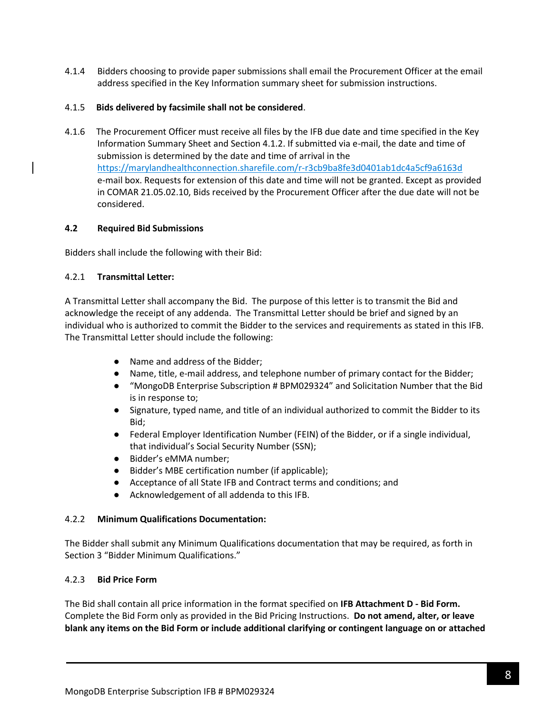4.1.4 Bidders choosing to provide paper submissions shall email the Procurement Officer at the email address specified in the Key Information summary sheet for submission instructions.

### 4.1.5 **Bids delivered by facsimile shall not be considered**.

4.1.6 The Procurement Officer must receive all files by the IFB due date and time specified in the Key Information Summary Sheet and Section 4.1.2. If submitted via e-mail, the date and time of submission is determined by the date and time of arrival in the <https://marylandhealthconnection.sharefile.com/r-r3cb9ba8fe3d0401ab1dc4a5cf9a6163d> e-mail box. Requests for extension of this date and time will not be granted. Except as provided in COMAR 21.05.02.10, Bids received by the Procurement Officer after the due date will not be considered.

### **4.2 Required Bid Submissions**

Bidders shall include the following with their Bid:

### 4.2.1 **Transmittal Letter:**

A Transmittal Letter shall accompany the Bid. The purpose of this letter is to transmit the Bid and acknowledge the receipt of any addenda. The Transmittal Letter should be brief and signed by an individual who is authorized to commit the Bidder to the services and requirements as stated in this IFB. The Transmittal Letter should include the following:

- Name and address of the Bidder;
- Name, title, e-mail address, and telephone number of primary contact for the Bidder;
- "MongoDB Enterprise Subscription # BPM029324" and Solicitation Number that the Bid is in response to;
- Signature, typed name, and title of an individual authorized to commit the Bidder to its Bid;
- Federal Employer Identification Number (FEIN) of the Bidder, or if a single individual, that individual's Social Security Number (SSN);
- Bidder's eMMA number;
- Bidder's MBE certification number (if applicable);
- Acceptance of all State IFB and Contract terms and conditions; and
- Acknowledgement of all addenda to this IFB.

#### 4.2.2 **Minimum Qualifications Documentation:**

The Bidder shall submit any Minimum Qualifications documentation that may be required, as forth in Section 3 "Bidder Minimum Qualifications."

#### 4.2.3 **Bid Price Form**

The Bid shall contain all price information in the format specified on **IFB Attachment D - Bid Form.** Complete the Bid Form only as provided in the Bid Pricing Instructions. **Do not amend, alter, or leave blank any items on the Bid Form or include additional clarifying or contingent language on or attached**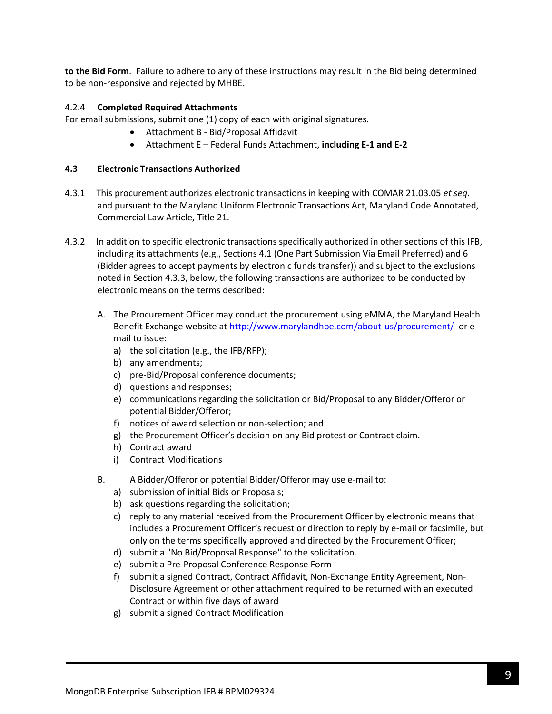**to the Bid Form**. Failure to adhere to any of these instructions may result in the Bid being determined to be non-responsive and rejected by MHBE.

### 4.2.4 **Completed Required Attachments**

For email submissions, submit one (1) copy of each with original signatures.

- Attachment B Bid/Proposal Affidavit
- Attachment E Federal Funds Attachment, **including E-1 and E-2**

### **4.3 Electronic Transactions Authorized**

- 4.3.1 This procurement authorizes electronic transactions in keeping with COMAR 21.03.05 *et seq*. and pursuant to the Maryland Uniform Electronic Transactions Act, Maryland Code Annotated, Commercial Law Article, Title 21.
- 4.3.2 In addition to specific electronic transactions specifically authorized in other sections of this IFB, including its attachments (e.g., Sections 4.1 (One Part Submission Via Email Preferred) and 6 (Bidder agrees to accept payments by electronic funds transfer)) and subject to the exclusions noted in Section 4.3.3, below, the following transactions are authorized to be conducted by electronic means on the terms described:
	- A. The Procurement Officer may conduct the procurement using eMMA, the Maryland Health Benefit Exchange website a[t http://www.marylandhbe.com/about-us/procurement/](http://www.marylandhbe.com/about-us/procurement/) or email to issue:
		- a) the solicitation (e.g., the IFB/RFP);
		- b) any amendments;
		- c) pre-Bid/Proposal conference documents;
		- d) questions and responses;
		- e) communications regarding the solicitation or Bid/Proposal to any Bidder/Offeror or potential Bidder/Offeror;
		- f) notices of award selection or non-selection; and
		- g) the Procurement Officer's decision on any Bid protest or Contract claim.
		- h) Contract award
		- i) Contract Modifications
	- B. A Bidder/Offeror or potential Bidder/Offeror may use e-mail to:
		- a) submission of initial Bids or Proposals;
		- b) ask questions regarding the solicitation;
		- c) reply to any material received from the Procurement Officer by electronic means that includes a Procurement Officer's request or direction to reply by e-mail or facsimile, but only on the terms specifically approved and directed by the Procurement Officer;
		- d) submit a "No Bid/Proposal Response" to the solicitation.
		- e) submit a Pre-Proposal Conference Response Form
		- f) submit a signed Contract, Contract Affidavit, Non-Exchange Entity Agreement, Non-Disclosure Agreement or other attachment required to be returned with an executed Contract or within five days of award
		- g) submit a signed Contract Modification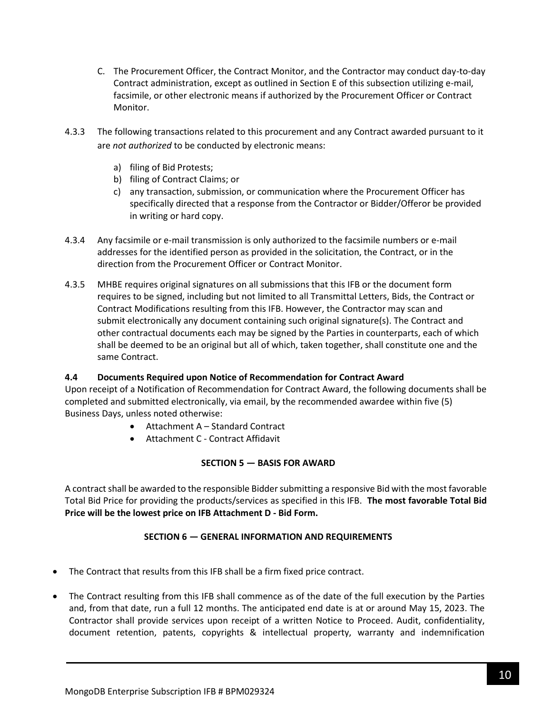- C. The Procurement Officer, the Contract Monitor, and the Contractor may conduct day-to-day Contract administration, except as outlined in Section E of this subsection utilizing e-mail, facsimile, or other electronic means if authorized by the Procurement Officer or Contract Monitor.
- 4.3.3 The following transactions related to this procurement and any Contract awarded pursuant to it are *not authorized* to be conducted by electronic means:
	- a) filing of Bid Protests;
	- b) filing of Contract Claims; or
	- c) any transaction, submission, or communication where the Procurement Officer has specifically directed that a response from the Contractor or Bidder/Offeror be provided in writing or hard copy.
- 4.3.4 Any facsimile or e-mail transmission is only authorized to the facsimile numbers or e-mail addresses for the identified person as provided in the solicitation, the Contract, or in the direction from the Procurement Officer or Contract Monitor.
- 4.3.5 MHBE requires original signatures on all submissions that this IFB or the document form requires to be signed, including but not limited to all Transmittal Letters, Bids, the Contract or Contract Modifications resulting from this IFB. However, the Contractor may scan and submit electronically any document containing such original signature(s). The Contract and other contractual documents each may be signed by the Parties in counterparts, each of which shall be deemed to be an original but all of which, taken together, shall constitute one and the same Contract.

# **4.4 Documents Required upon Notice of Recommendation for Contract Award**

Upon receipt of a Notification of Recommendation for Contract Award, the following documents shall be completed and submitted electronically, via email, by the recommended awardee within five (5) Business Days, unless noted otherwise:

- Attachment A Standard Contract
- Attachment C Contract Affidavit

# **SECTION 5 — BASIS FOR AWARD**

<span id="page-9-0"></span>A contract shall be awarded to the responsible Bidder submitting a responsive Bid with the most favorable Total Bid Price for providing the products/services as specified in this IFB. **The most favorable Total Bid Price will be the lowest price on IFB Attachment D - Bid Form.**

# **SECTION 6 — GENERAL INFORMATION AND REQUIREMENTS**

- <span id="page-9-1"></span>• The Contract that results from this IFB shall be a firm fixed price contract.
- The Contract resulting from this IFB shall commence as of the date of the full execution by the Parties and, from that date, run a full 12 months. The anticipated end date is at or around May 15, 2023. The Contractor shall provide services upon receipt of a written Notice to Proceed. Audit, confidentiality, document retention, patents, copyrights & intellectual property, warranty and indemnification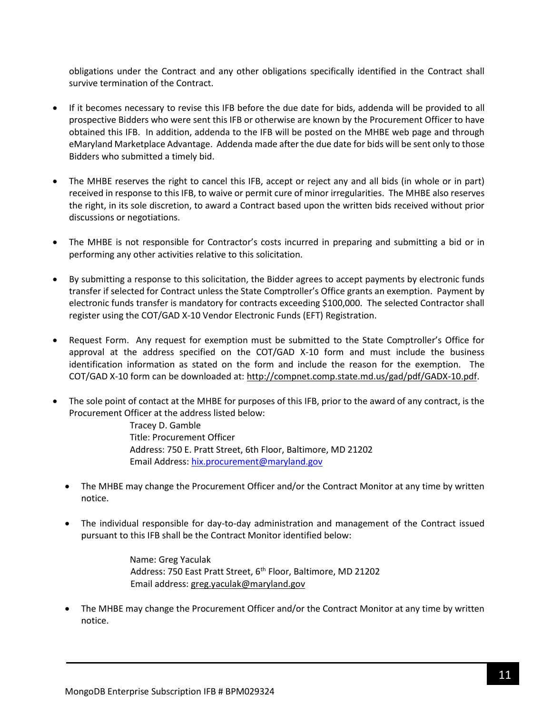obligations under the Contract and any other obligations specifically identified in the Contract shall survive termination of the Contract.

- If it becomes necessary to revise this IFB before the due date for bids, addenda will be provided to all prospective Bidders who were sent this IFB or otherwise are known by the Procurement Officer to have obtained this IFB. In addition, addenda to the IFB will be posted on the MHBE web page and through eMaryland Marketplace Advantage. Addenda made after the due date for bids will be sent only to those Bidders who submitted a timely bid.
- The MHBE reserves the right to cancel this IFB, accept or reject any and all bids (in whole or in part) received in response to this IFB, to waive or permit cure of minor irregularities. The MHBE also reserves the right, in its sole discretion, to award a Contract based upon the written bids received without prior discussions or negotiations.
- The MHBE is not responsible for Contractor's costs incurred in preparing and submitting a bid or in performing any other activities relative to this solicitation.
- By submitting a response to this solicitation, the Bidder agrees to accept payments by electronic funds transfer if selected for Contract unless the State Comptroller's Office grants an exemption. Payment by electronic funds transfer is mandatory for contracts exceeding \$100,000. The selected Contractor shall register using the COT/GAD X-10 Vendor Electronic Funds (EFT) Registration.
- Request Form. Any request for exemption must be submitted to the State Comptroller's Office for approval at the address specified on the COT/GAD X-10 form and must include the business identification information as stated on the form and include the reason for the exemption. The COT/GAD X-10 form can be downloaded at[: http://compnet.comp.state.md.us/gad/pdf/GADX-10.pdf.](http://compnet.comp.state.md.us/gad/pdf/GADX-10.pdf)
- The sole point of contact at the MHBE for purposes of this IFB, prior to the award of any contract, is the Procurement Officer at the address listed below:

Tracey D. Gamble Title: Procurement Officer Address: 750 E. Pratt Street, 6th Floor, Baltimore, MD 21202 Email Address: [hix.procurement@maryland.gov](mailto:hix.procurement@maryland.gov)

- The MHBE may change the Procurement Officer and/or the Contract Monitor at any time by written notice.
- The individual responsible for day-to-day administration and management of the Contract issued pursuant to this IFB shall be the Contract Monitor identified below:

Name: Greg Yaculak Address: 750 East Pratt Street, 6<sup>th</sup> Floor, Baltimore, MD 21202 Email address: [greg.yaculak@maryland.gov](mailto:greg.yaculak@maryland.gov) 

• The MHBE may change the Procurement Officer and/or the Contract Monitor at any time by written notice.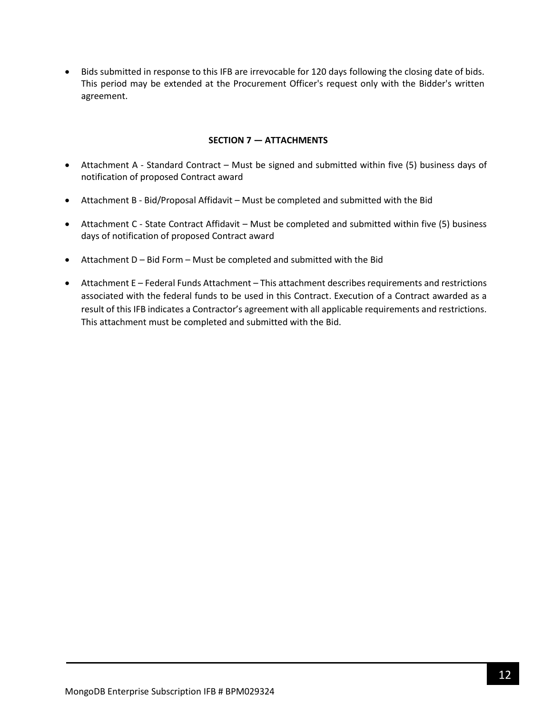• Bids submitted in response to this IFB are irrevocable for 120 days following the closing date of bids. This period may be extended at the Procurement Officer's request only with the Bidder's written agreement.

#### **SECTION 7 — ATTACHMENTS**

- <span id="page-11-0"></span>• Attachment A - Standard Contract – Must be signed and submitted within five (5) business days of notification of proposed Contract award
- Attachment B Bid/Proposal Affidavit Must be completed and submitted with the Bid
- Attachment C State Contract Affidavit Must be completed and submitted within five (5) business days of notification of proposed Contract award
- Attachment D Bid Form Must be completed and submitted with the Bid
- Attachment E Federal Funds Attachment This attachment describes requirements and restrictions associated with the federal funds to be used in this Contract. Execution of a Contract awarded as a result of this IFB indicates a Contractor's agreement with all applicable requirements and restrictions. This attachment must be completed and submitted with the Bid.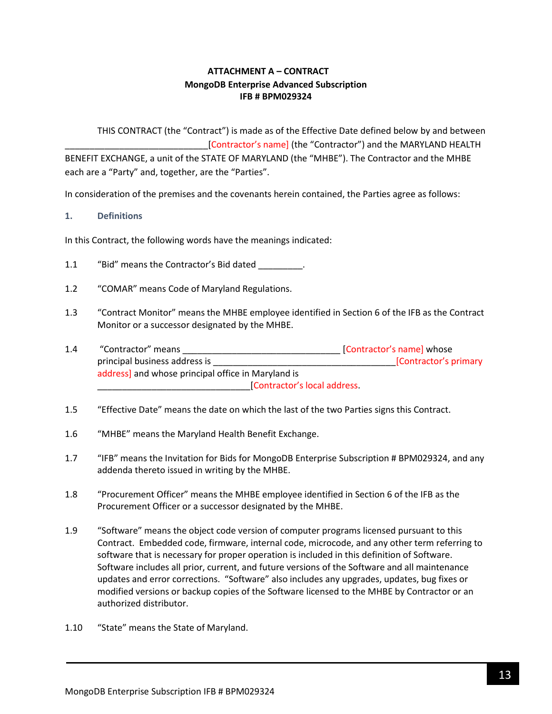# **ATTACHMENT A – CONTRACT MongoDB Enterprise Advanced Subscription IFB # BPM029324**

<span id="page-12-0"></span>THIS CONTRACT (the "Contract") is made as of the Effective Date defined below by and between [Contractor's name] (the "Contractor") and the MARYLAND HEALTH BENEFIT EXCHANGE, a unit of the STATE OF MARYLAND (the "MHBE"). The Contractor and the MHBE each are a "Party" and, together, are the "Parties".

In consideration of the premises and the covenants herein contained, the Parties agree as follows:

#### **1. Definitions**

In this Contract, the following words have the meanings indicated:

- 1.1 "Bid" means the Contractor's Bid dated .
- 1.2 "COMAR" means Code of Maryland Regulations.
- 1.3 "Contract Monitor" means the MHBE employee identified in Section 6 of the IFB as the Contract Monitor or a successor designated by the MHBE.
- 1.4 "Contractor" means \_\_\_\_\_\_\_\_\_\_\_\_\_\_\_\_\_\_\_\_\_\_\_\_\_\_\_\_\_\_\_\_ [Contractor's name] whose principal business address is \_\_\_\_\_\_\_\_\_\_\_\_\_\_\_\_\_\_\_\_\_\_\_\_\_\_\_\_\_\_\_\_\_\_\_\_\_[Contractor's primary address] and whose principal office in Maryland is \_\_\_\_\_\_\_\_\_\_\_\_\_\_\_\_\_\_\_\_\_\_\_\_\_\_\_\_\_\_\_[Contractor's local address.
- 1.5 "Effective Date" means the date on which the last of the two Parties signs this Contract.
- 1.6 "MHBE" means the Maryland Health Benefit Exchange.
- 1.7 "IFB" means the Invitation for Bids for MongoDB Enterprise Subscription # BPM029324, and any addenda thereto issued in writing by the MHBE.
- 1.8 "Procurement Officer" means the MHBE employee identified in Section 6 of the IFB as the Procurement Officer or a successor designated by the MHBE.
- 1.9 "Software" means the object code version of computer programs licensed pursuant to this Contract. Embedded code, firmware, internal code, microcode, and any other term referring to software that is necessary for proper operation is included in this definition of Software. Software includes all prior, current, and future versions of the Software and all maintenance updates and error corrections. "Software" also includes any upgrades, updates, bug fixes or modified versions or backup copies of the Software licensed to the MHBE by Contractor or an authorized distributor.
- 1.10 "State" means the State of Maryland.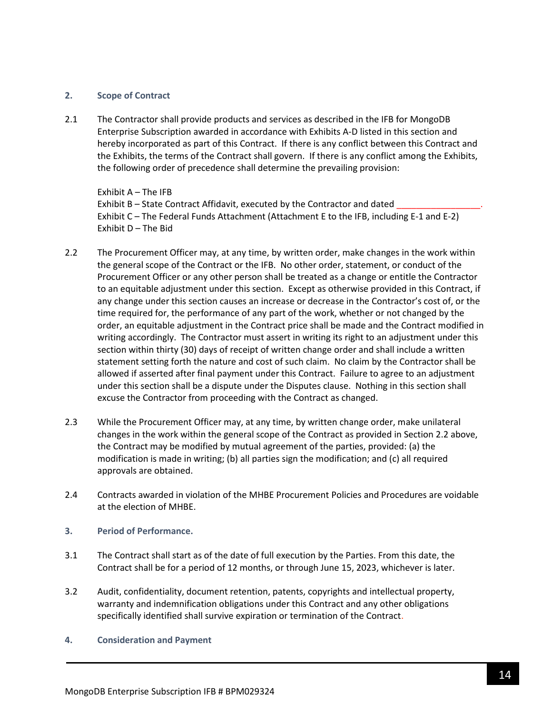#### **2. Scope of Contract**

2.1 The Contractor shall provide products and services as described in the IFB for MongoDB Enterprise Subscription awarded in accordance with Exhibits A-D listed in this section and hereby incorporated as part of this Contract. If there is any conflict between this Contract and the Exhibits, the terms of the Contract shall govern. If there is any conflict among the Exhibits, the following order of precedence shall determine the prevailing provision:

Exhibit A – The IFB Exhibit B – State Contract Affidavit, executed by the Contractor and dated Exhibit C – The Federal Funds Attachment (Attachment E to the IFB, including E-1 and E-2) Exhibit D – The Bid

- 2.2 The Procurement Officer may, at any time, by written order, make changes in the work within the general scope of the Contract or the IFB. No other order, statement, or conduct of the Procurement Officer or any other person shall be treated as a change or entitle the Contractor to an equitable adjustment under this section. Except as otherwise provided in this Contract, if any change under this section causes an increase or decrease in the Contractor's cost of, or the time required for, the performance of any part of the work, whether or not changed by the order, an equitable adjustment in the Contract price shall be made and the Contract modified in writing accordingly. The Contractor must assert in writing its right to an adjustment under this section within thirty (30) days of receipt of written change order and shall include a written statement setting forth the nature and cost of such claim. No claim by the Contractor shall be allowed if asserted after final payment under this Contract. Failure to agree to an adjustment under this section shall be a dispute under the Disputes clause. Nothing in this section shall excuse the Contractor from proceeding with the Contract as changed.
- 2.3 While the Procurement Officer may, at any time, by written change order, make unilateral changes in the work within the general scope of the Contract as provided in Section 2.2 above, the Contract may be modified by mutual agreement of the parties, provided: (a) the modification is made in writing; (b) all parties sign the modification; and (c) all required approvals are obtained.
- 2.4 Contracts awarded in violation of the MHBE Procurement Policies and Procedures are voidable at the election of MHBE.
- **3. Period of Performance.**
- 3.1 The Contract shall start as of the date of full execution by the Parties. From this date, the Contract shall be for a period of 12 months, or through June 15, 2023, whichever is later.
- 3.2 Audit, confidentiality, document retention, patents, copyrights and intellectual property, warranty and indemnification obligations under this Contract and any other obligations specifically identified shall survive expiration or termination of the Contract.
- **4. Consideration and Payment**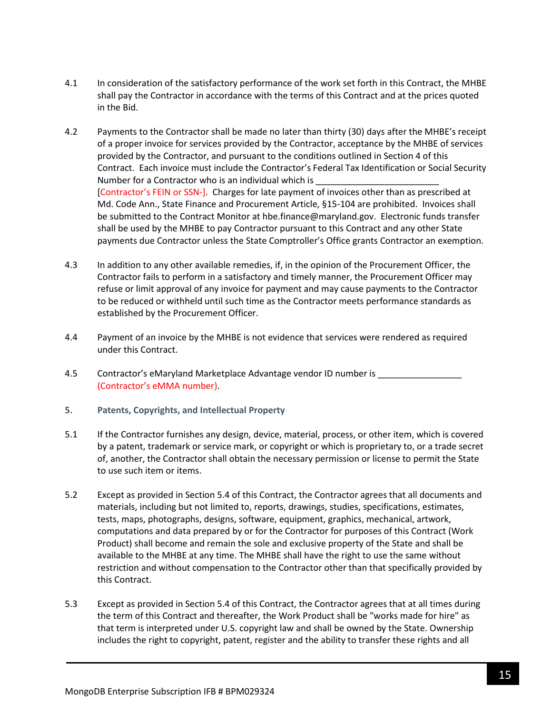- 4.1 In consideration of the satisfactory performance of the work set forth in this Contract, the MHBE shall pay the Contractor in accordance with the terms of this Contract and at the prices quoted in the Bid.
- 4.2 Payments to the Contractor shall be made no later than thirty (30) days after the MHBE's receipt of a proper invoice for services provided by the Contractor, acceptance by the MHBE of services provided by the Contractor, and pursuant to the conditions outlined in Section 4 of this Contract. Each invoice must include the Contractor's Federal Tax Identification or Social Security Number for a Contractor who is an individual which is [Contractor's FEIN or SSN-]. Charges for late payment of invoices other than as prescribed at Md. Code Ann., State Finance and Procurement Article, §15-104 are prohibited. Invoices shall be submitted to the Contract Monitor at hbe.finance@maryland.gov. Electronic funds transfer shall be used by the MHBE to pay Contractor pursuant to this Contract and any other State payments due Contractor unless the State Comptroller's Office grants Contractor an exemption.
- 4.3 In addition to any other available remedies, if, in the opinion of the Procurement Officer, the Contractor fails to perform in a satisfactory and timely manner, the Procurement Officer may refuse or limit approval of any invoice for payment and may cause payments to the Contractor to be reduced or withheld until such time as the Contractor meets performance standards as established by the Procurement Officer.
- 4.4 Payment of an invoice by the MHBE is not evidence that services were rendered as required under this Contract.
- 4.5 Contractor's eMaryland Marketplace Advantage vendor ID number is \_\_\_\_\_\_\_\_\_\_\_ (Contractor's eMMA number).
- **5. Patents, Copyrights, and Intellectual Property**
- 5.1 If the Contractor furnishes any design, device, material, process, or other item, which is covered by a patent, trademark or service mark, or copyright or which is proprietary to, or a trade secret of, another, the Contractor shall obtain the necessary permission or license to permit the State to use such item or items.
- 5.2 Except as provided in Section 5.4 of this Contract, the Contractor agrees that all documents and materials, including but not limited to, reports, drawings, studies, specifications, estimates, tests, maps, photographs, designs, software, equipment, graphics, mechanical, artwork, computations and data prepared by or for the Contractor for purposes of this Contract (Work Product) shall become and remain the sole and exclusive property of the State and shall be available to the MHBE at any time. The MHBE shall have the right to use the same without restriction and without compensation to the Contractor other than that specifically provided by this Contract.
- 5.3 Except as provided in Section 5.4 of this Contract, the Contractor agrees that at all times during the term of this Contract and thereafter, the Work Product shall be "works made for hire" as that term is interpreted under U.S. copyright law and shall be owned by the State. Ownership includes the right to copyright, patent, register and the ability to transfer these rights and all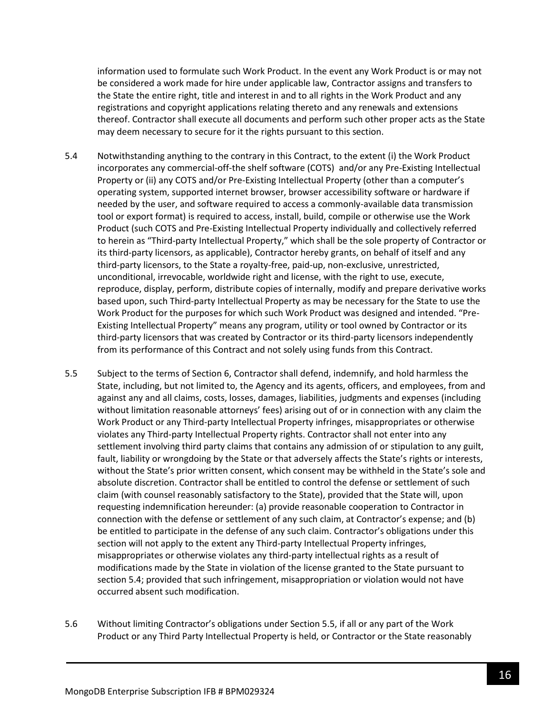information used to formulate such Work Product. In the event any Work Product is or may not be considered a work made for hire under applicable law, Contractor assigns and transfers to the State the entire right, title and interest in and to all rights in the Work Product and any registrations and copyright applications relating thereto and any renewals and extensions thereof. Contractor shall execute all documents and perform such other proper acts as the State may deem necessary to secure for it the rights pursuant to this section.

- 5.4 Notwithstanding anything to the contrary in this Contract, to the extent (i) the Work Product incorporates any commercial-off-the shelf software (COTS) and/or any Pre-Existing Intellectual Property or (ii) any COTS and/or Pre-Existing Intellectual Property (other than a computer's operating system, supported internet browser, browser accessibility software or hardware if needed by the user, and software required to access a commonly-available data transmission tool or export format) is required to access, install, build, compile or otherwise use the Work Product (such COTS and Pre-Existing Intellectual Property individually and collectively referred to herein as "Third-party Intellectual Property," which shall be the sole property of Contractor or its third-party licensors, as applicable), Contractor hereby grants, on behalf of itself and any third-party licensors, to the State a royalty-free, paid-up, non-exclusive, unrestricted, unconditional, irrevocable, worldwide right and license, with the right to use, execute, reproduce, display, perform, distribute copies of internally, modify and prepare derivative works based upon, such Third-party Intellectual Property as may be necessary for the State to use the Work Product for the purposes for which such Work Product was designed and intended. "Pre-Existing Intellectual Property" means any program, utility or tool owned by Contractor or its third-party licensors that was created by Contractor or its third-party licensors independently from its performance of this Contract and not solely using funds from this Contract.
- 5.5 Subject to the terms of Section 6, Contractor shall defend, indemnify, and hold harmless the State, including, but not limited to, the Agency and its agents, officers, and employees, from and against any and all claims, costs, losses, damages, liabilities, judgments and expenses (including without limitation reasonable attorneys' fees) arising out of or in connection with any claim the Work Product or any Third-party Intellectual Property infringes, misappropriates or otherwise violates any Third-party Intellectual Property rights. Contractor shall not enter into any settlement involving third party claims that contains any admission of or stipulation to any guilt, fault, liability or wrongdoing by the State or that adversely affects the State's rights or interests, without the State's prior written consent, which consent may be withheld in the State's sole and absolute discretion. Contractor shall be entitled to control the defense or settlement of such claim (with counsel reasonably satisfactory to the State), provided that the State will, upon requesting indemnification hereunder: (a) provide reasonable cooperation to Contractor in connection with the defense or settlement of any such claim, at Contractor's expense; and (b) be entitled to participate in the defense of any such claim. Contractor's obligations under this section will not apply to the extent any Third-party Intellectual Property infringes, misappropriates or otherwise violates any third-party intellectual rights as a result of modifications made by the State in violation of the license granted to the State pursuant to section 5.4; provided that such infringement, misappropriation or violation would not have occurred absent such modification.
- 5.6 Without limiting Contractor's obligations under Section 5.5, if all or any part of the Work Product or any Third Party Intellectual Property is held, or Contractor or the State reasonably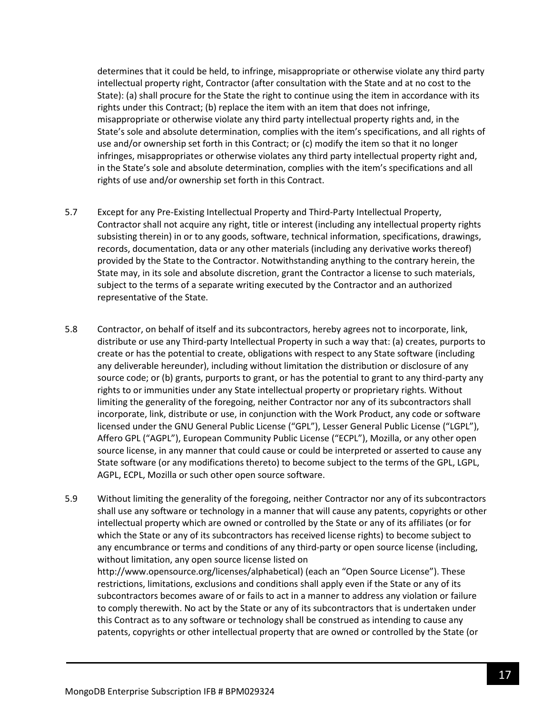determines that it could be held, to infringe, misappropriate or otherwise violate any third party intellectual property right, Contractor (after consultation with the State and at no cost to the State): (a) shall procure for the State the right to continue using the item in accordance with its rights under this Contract; (b) replace the item with an item that does not infringe, misappropriate or otherwise violate any third party intellectual property rights and, in the State's sole and absolute determination, complies with the item's specifications, and all rights of use and/or ownership set forth in this Contract; or (c) modify the item so that it no longer infringes, misappropriates or otherwise violates any third party intellectual property right and, in the State's sole and absolute determination, complies with the item's specifications and all rights of use and/or ownership set forth in this Contract.

- 5.7 Except for any Pre-Existing Intellectual Property and Third-Party Intellectual Property, Contractor shall not acquire any right, title or interest (including any intellectual property rights subsisting therein) in or to any goods, software, technical information, specifications, drawings, records, documentation, data or any other materials (including any derivative works thereof) provided by the State to the Contractor. Notwithstanding anything to the contrary herein, the State may, in its sole and absolute discretion, grant the Contractor a license to such materials, subject to the terms of a separate writing executed by the Contractor and an authorized representative of the State.
- 5.8 Contractor, on behalf of itself and its subcontractors, hereby agrees not to incorporate, link, distribute or use any Third-party Intellectual Property in such a way that: (a) creates, purports to create or has the potential to create, obligations with respect to any State software (including any deliverable hereunder), including without limitation the distribution or disclosure of any source code; or (b) grants, purports to grant, or has the potential to grant to any third-party any rights to or immunities under any State intellectual property or proprietary rights. Without limiting the generality of the foregoing, neither Contractor nor any of its subcontractors shall incorporate, link, distribute or use, in conjunction with the Work Product, any code or software licensed under the GNU General Public License ("GPL"), Lesser General Public License ("LGPL"), Affero GPL ("AGPL"), European Community Public License ("ECPL"), Mozilla, or any other open source license, in any manner that could cause or could be interpreted or asserted to cause any State software (or any modifications thereto) to become subject to the terms of the GPL, LGPL, AGPL, ECPL, Mozilla or such other open source software.
- 5.9 Without limiting the generality of the foregoing, neither Contractor nor any of its subcontractors shall use any software or technology in a manner that will cause any patents, copyrights or other intellectual property which are owned or controlled by the State or any of its affiliates (or for which the State or any of its subcontractors has received license rights) to become subject to any encumbrance or terms and conditions of any third-party or open source license (including, without limitation, any open source license listed on http://www.opensource.org/licenses/alphabetical) (each an "Open Source License"). These restrictions, limitations, exclusions and conditions shall apply even if the State or any of its subcontractors becomes aware of or fails to act in a manner to address any violation or failure to comply therewith. No act by the State or any of its subcontractors that is undertaken under this Contract as to any software or technology shall be construed as intending to cause any patents, copyrights or other intellectual property that are owned or controlled by the State (or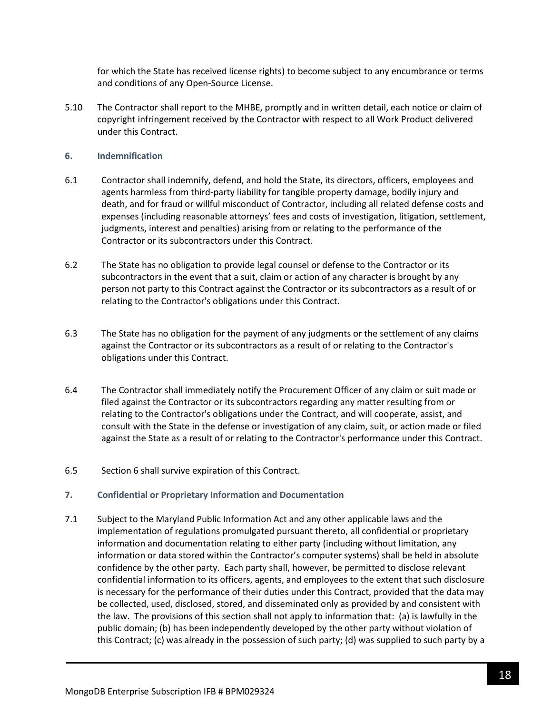for which the State has received license rights) to become subject to any encumbrance or terms and conditions of any Open-Source License.

5.10 The Contractor shall report to the MHBE, promptly and in written detail, each notice or claim of copyright infringement received by the Contractor with respect to all Work Product delivered under this Contract.

#### **6. Indemnification**

- 6.1 Contractor shall indemnify, defend, and hold the State, its directors, officers, employees and agents harmless from third-party liability for tangible property damage, bodily injury and death, and for fraud or willful misconduct of Contractor, including all related defense costs and expenses (including reasonable attorneys' fees and costs of investigation, litigation, settlement, judgments, interest and penalties) arising from or relating to the performance of the Contractor or its subcontractors under this Contract.
- 6.2 The State has no obligation to provide legal counsel or defense to the Contractor or its subcontractors in the event that a suit, claim or action of any character is brought by any person not party to this Contract against the Contractor or its subcontractors as a result of or relating to the Contractor's obligations under this Contract.
- 6.3 The State has no obligation for the payment of any judgments or the settlement of any claims against the Contractor or its subcontractors as a result of or relating to the Contractor's obligations under this Contract.
- 6.4 The Contractor shall immediately notify the Procurement Officer of any claim or suit made or filed against the Contractor or its subcontractors regarding any matter resulting from or relating to the Contractor's obligations under the Contract, and will cooperate, assist, and consult with the State in the defense or investigation of any claim, suit, or action made or filed against the State as a result of or relating to the Contractor's performance under this Contract.
- 6.5 Section 6 shall survive expiration of this Contract.

#### **7. Confidential or Proprietary Information and Documentation**

7.1 Subject to the Maryland Public Information Act and any other applicable laws and the implementation of regulations promulgated pursuant thereto, all confidential or proprietary information and documentation relating to either party (including without limitation, any information or data stored within the Contractor's computer systems) shall be held in absolute confidence by the other party. Each party shall, however, be permitted to disclose relevant confidential information to its officers, agents, and employees to the extent that such disclosure is necessary for the performance of their duties under this Contract, provided that the data may be collected, used, disclosed, stored, and disseminated only as provided by and consistent with the law. The provisions of this section shall not apply to information that: (a) is lawfully in the public domain; (b) has been independently developed by the other party without violation of this Contract; (c) was already in the possession of such party; (d) was supplied to such party by a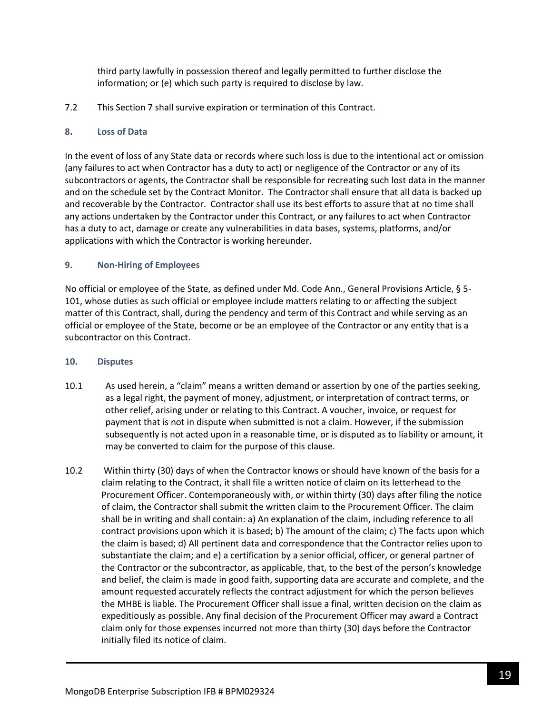third party lawfully in possession thereof and legally permitted to further disclose the information; or (e) which such party is required to disclose by law.

7.2 This Section 7 shall survive expiration or termination of this Contract.

### **8. Loss of Data**

In the event of loss of any State data or records where such loss is due to the intentional act or omission (any failures to act when Contractor has a duty to act) or negligence of the Contractor or any of its subcontractors or agents, the Contractor shall be responsible for recreating such lost data in the manner and on the schedule set by the Contract Monitor. The Contractor shall ensure that all data is backed up and recoverable by the Contractor. Contractor shall use its best efforts to assure that at no time shall any actions undertaken by the Contractor under this Contract, or any failures to act when Contractor has a duty to act, damage or create any vulnerabilities in data bases, systems, platforms, and/or applications with which the Contractor is working hereunder.

### **9. Non-Hiring of Employees**

No official or employee of the State, as defined under Md. Code Ann., General Provisions Article, § 5- 101, whose duties as such official or employee include matters relating to or affecting the subject matter of this Contract, shall, during the pendency and term of this Contract and while serving as an official or employee of the State, become or be an employee of the Contractor or any entity that is a subcontractor on this Contract.

#### **10. Disputes**

- 10.1 As used herein, a "claim" means a written demand or assertion by one of the parties seeking, as a legal right, the payment of money, adjustment, or interpretation of contract terms, or other relief, arising under or relating to this Contract. A voucher, invoice, or request for payment that is not in dispute when submitted is not a claim. However, if the submission subsequently is not acted upon in a reasonable time, or is disputed as to liability or amount, it may be converted to claim for the purpose of this clause.
- 10.2 Within thirty (30) days of when the Contractor knows or should have known of the basis for a claim relating to the Contract, it shall file a written notice of claim on its letterhead to the Procurement Officer. Contemporaneously with, or within thirty (30) days after filing the notice of claim, the Contractor shall submit the written claim to the Procurement Officer. The claim shall be in writing and shall contain: a) An explanation of the claim, including reference to all contract provisions upon which it is based; b) The amount of the claim; c) The facts upon which the claim is based; d) All pertinent data and correspondence that the Contractor relies upon to substantiate the claim; and e) a certification by a senior official, officer, or general partner of the Contractor or the subcontractor, as applicable, that, to the best of the person's knowledge and belief, the claim is made in good faith, supporting data are accurate and complete, and the amount requested accurately reflects the contract adjustment for which the person believes the MHBE is liable. The Procurement Officer shall issue a final, written decision on the claim as expeditiously as possible. Any final decision of the Procurement Officer may award a Contract claim only for those expenses incurred not more than thirty (30) days before the Contractor initially filed its notice of claim.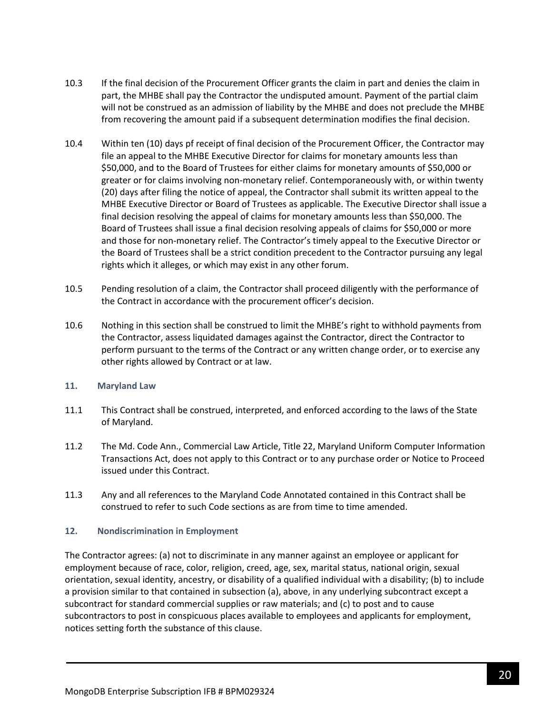- 10.3 If the final decision of the Procurement Officer grants the claim in part and denies the claim in part, the MHBE shall pay the Contractor the undisputed amount. Payment of the partial claim will not be construed as an admission of liability by the MHBE and does not preclude the MHBE from recovering the amount paid if a subsequent determination modifies the final decision.
- 10.4 Within ten (10) days pf receipt of final decision of the Procurement Officer, the Contractor may file an appeal to the MHBE Executive Director for claims for monetary amounts less than \$50,000, and to the Board of Trustees for either claims for monetary amounts of \$50,000 or greater or for claims involving non-monetary relief. Contemporaneously with, or within twenty (20) days after filing the notice of appeal, the Contractor shall submit its written appeal to the MHBE Executive Director or Board of Trustees as applicable. The Executive Director shall issue a final decision resolving the appeal of claims for monetary amounts less than \$50,000. The Board of Trustees shall issue a final decision resolving appeals of claims for \$50,000 or more and those for non-monetary relief. The Contractor's timely appeal to the Executive Director or the Board of Trustees shall be a strict condition precedent to the Contractor pursuing any legal rights which it alleges, or which may exist in any other forum.
- 10.5 Pending resolution of a claim, the Contractor shall proceed diligently with the performance of the Contract in accordance with the procurement officer's decision.
- 10.6 Nothing in this section shall be construed to limit the MHBE's right to withhold payments from the Contractor, assess liquidated damages against the Contractor, direct the Contractor to perform pursuant to the terms of the Contract or any written change order, or to exercise any other rights allowed by Contract or at law.

#### **11. Maryland Law**

- 11.1 This Contract shall be construed, interpreted, and enforced according to the laws of the State of Maryland.
- 11.2 The Md. Code Ann., Commercial Law Article, Title 22, Maryland Uniform Computer Information Transactions Act, does not apply to this Contract or to any purchase order or Notice to Proceed issued under this Contract.
- 11.3 Any and all references to the Maryland Code Annotated contained in this Contract shall be construed to refer to such Code sections as are from time to time amended.

#### **12. Nondiscrimination in Employment**

The Contractor agrees: (a) not to discriminate in any manner against an employee or applicant for employment because of race, color, religion, creed, age, sex, marital status, national origin, sexual orientation, sexual identity, ancestry, or disability of a qualified individual with a disability; (b) to include a provision similar to that contained in subsection (a), above, in any underlying subcontract except a subcontract for standard commercial supplies or raw materials; and (c) to post and to cause subcontractors to post in conspicuous places available to employees and applicants for employment, notices setting forth the substance of this clause.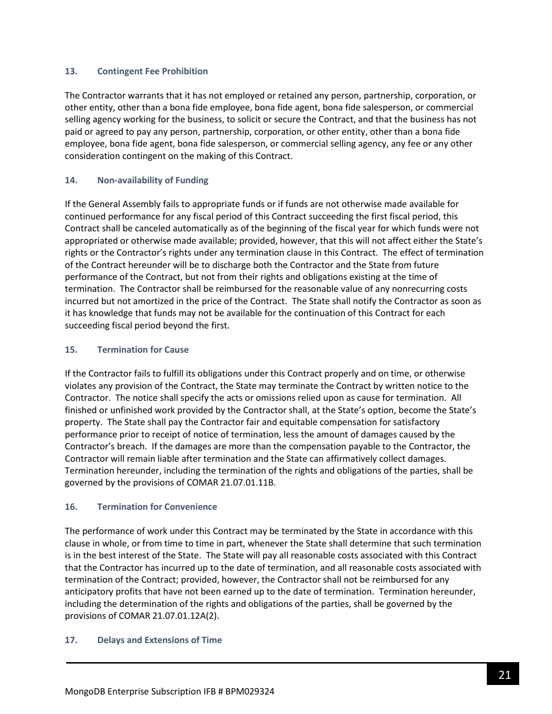#### **13. Contingent Fee Prohibition**

The Contractor warrants that it has not employed or retained any person, partnership, corporation, or other entity, other than a bona fide employee, bona fide agent, bona fide salesperson, or commercial selling agency working for the business, to solicit or secure the Contract, and that the business has not paid or agreed to pay any person, partnership, corporation, or other entity, other than a bona fide employee, bona fide agent, bona fide salesperson, or commercial selling agency, any fee or any other consideration contingent on the making of this Contract.

### **14. Non-availability of Funding**

If the General Assembly fails to appropriate funds or if funds are not otherwise made available for continued performance for any fiscal period of this Contract succeeding the first fiscal period, this Contract shall be canceled automatically as of the beginning of the fiscal year for which funds were not appropriated or otherwise made available; provided, however, that this will not affect either the State's rights or the Contractor's rights under any termination clause in this Contract. The effect of termination of the Contract hereunder will be to discharge both the Contractor and the State from future performance of the Contract, but not from their rights and obligations existing at the time of termination. The Contractor shall be reimbursed for the reasonable value of any nonrecurring costs incurred but not amortized in the price of the Contract. The State shall notify the Contractor as soon as it has knowledge that funds may not be available for the continuation of this Contract for each succeeding fiscal period beyond the first.

### **15. Termination for Cause**

If the Contractor fails to fulfill its obligations under this Contract properly and on time, or otherwise violates any provision of the Contract, the State may terminate the Contract by written notice to the Contractor. The notice shall specify the acts or omissions relied upon as cause for termination. All finished or unfinished work provided by the Contractor shall, at the State's option, become the State's property. The State shall pay the Contractor fair and equitable compensation for satisfactory performance prior to receipt of notice of termination, less the amount of damages caused by the Contractor's breach. If the damages are more than the compensation payable to the Contractor, the Contractor will remain liable after termination and the State can affirmatively collect damages. Termination hereunder, including the termination of the rights and obligations of the parties, shall be governed by the provisions of COMAR 21.07.01.11B.

#### **16. Termination for Convenience**

The performance of work under this Contract may be terminated by the State in accordance with this clause in whole, or from time to time in part, whenever the State shall determine that such termination is in the best interest of the State. The State will pay all reasonable costs associated with this Contract that the Contractor has incurred up to the date of termination, and all reasonable costs associated with termination of the Contract; provided, however, the Contractor shall not be reimbursed for any anticipatory profits that have not been earned up to the date of termination. Termination hereunder, including the determination of the rights and obligations of the parties, shall be governed by the provisions of COMAR 21.07.01.12A(2).

#### **17. Delays and Extensions of Time**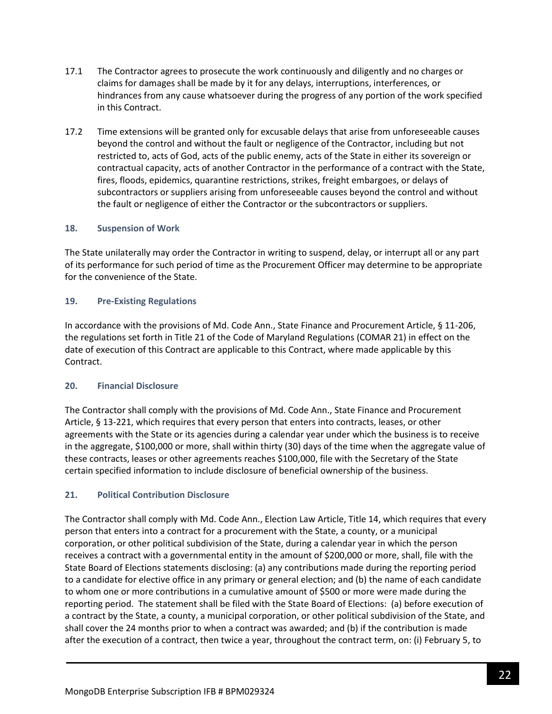- 17.1 The Contractor agrees to prosecute the work continuously and diligently and no charges or claims for damages shall be made by it for any delays, interruptions, interferences, or hindrances from any cause whatsoever during the progress of any portion of the work specified in this Contract.
- 17.2 Time extensions will be granted only for excusable delays that arise from unforeseeable causes beyond the control and without the fault or negligence of the Contractor, including but not restricted to, acts of God, acts of the public enemy, acts of the State in either its sovereign or contractual capacity, acts of another Contractor in the performance of a contract with the State, fires, floods, epidemics, quarantine restrictions, strikes, freight embargoes, or delays of subcontractors or suppliers arising from unforeseeable causes beyond the control and without the fault or negligence of either the Contractor or the subcontractors or suppliers.

### **18. Suspension of Work**

The State unilaterally may order the Contractor in writing to suspend, delay, or interrupt all or any part of its performance for such period of time as the Procurement Officer may determine to be appropriate for the convenience of the State.

### **19. Pre-Existing Regulations**

In accordance with the provisions of Md. Code Ann., State Finance and Procurement Article, § 11-206, the regulations set forth in Title 21 of the Code of Maryland Regulations (COMAR 21) in effect on the date of execution of this Contract are applicable to this Contract, where made applicable by this Contract.

#### **20. Financial Disclosure**

The Contractor shall comply with the provisions of Md. Code Ann., State Finance and Procurement Article, § 13-221, which requires that every person that enters into contracts, leases, or other agreements with the State or its agencies during a calendar year under which the business is to receive in the aggregate, \$100,000 or more, shall within thirty (30) days of the time when the aggregate value of these contracts, leases or other agreements reaches \$100,000, file with the Secretary of the State certain specified information to include disclosure of beneficial ownership of the business.

# **21. Political Contribution Disclosure**

The Contractor shall comply with Md. Code Ann., Election Law Article, Title 14, which requires that every person that enters into a contract for a procurement with the State, a county, or a municipal corporation, or other political subdivision of the State, during a calendar year in which the person receives a contract with a governmental entity in the amount of \$200,000 or more, shall, file with the State Board of Elections statements disclosing: (a) any contributions made during the reporting period to a candidate for elective office in any primary or general election; and (b) the name of each candidate to whom one or more contributions in a cumulative amount of \$500 or more were made during the reporting period. The statement shall be filed with the State Board of Elections: (a) before execution of a contract by the State, a county, a municipal corporation, or other political subdivision of the State, and shall cover the 24 months prior to when a contract was awarded; and (b) if the contribution is made after the execution of a contract, then twice a year, throughout the contract term, on: (i) February 5, to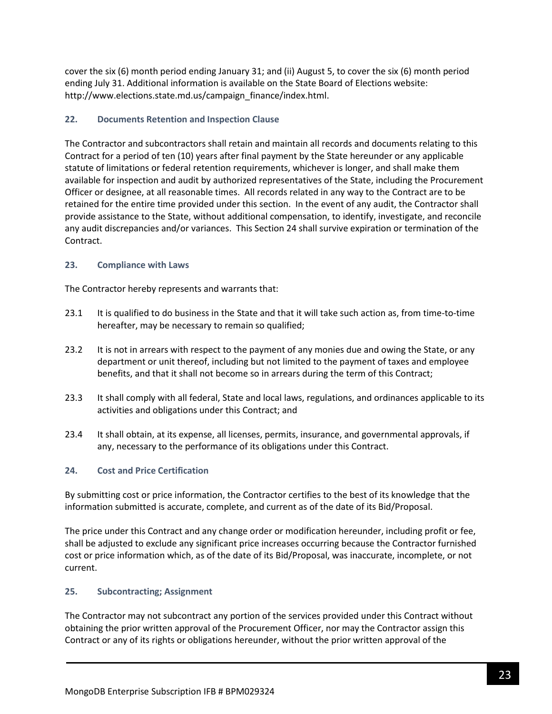cover the six (6) month period ending January 31; and (ii) August 5, to cover the six (6) month period ending July 31. Additional information is available on the State Board of Elections website: http://www.elections.state.md.us/campaign\_finance/index.html.

# **22. Documents Retention and Inspection Clause**

The Contractor and subcontractors shall retain and maintain all records and documents relating to this Contract for a period of ten (10) years after final payment by the State hereunder or any applicable statute of limitations or federal retention requirements, whichever is longer, and shall make them available for inspection and audit by authorized representatives of the State, including the Procurement Officer or designee, at all reasonable times. All records related in any way to the Contract are to be retained for the entire time provided under this section. In the event of any audit, the Contractor shall provide assistance to the State, without additional compensation, to identify, investigate, and reconcile any audit discrepancies and/or variances. This Section 24 shall survive expiration or termination of the Contract.

# **23. Compliance with Laws**

The Contractor hereby represents and warrants that:

- 23.1 It is qualified to do business in the State and that it will take such action as, from time-to-time hereafter, may be necessary to remain so qualified;
- 23.2 It is not in arrears with respect to the payment of any monies due and owing the State, or any department or unit thereof, including but not limited to the payment of taxes and employee benefits, and that it shall not become so in arrears during the term of this Contract;
- 23.3 It shall comply with all federal, State and local laws, regulations, and ordinances applicable to its activities and obligations under this Contract; and
- 23.4 It shall obtain, at its expense, all licenses, permits, insurance, and governmental approvals, if any, necessary to the performance of its obligations under this Contract.

# **24. Cost and Price Certification**

By submitting cost or price information, the Contractor certifies to the best of its knowledge that the information submitted is accurate, complete, and current as of the date of its Bid/Proposal.

The price under this Contract and any change order or modification hereunder, including profit or fee, shall be adjusted to exclude any significant price increases occurring because the Contractor furnished cost or price information which, as of the date of its Bid/Proposal, was inaccurate, incomplete, or not current.

# **25. Subcontracting; Assignment**

The Contractor may not subcontract any portion of the services provided under this Contract without obtaining the prior written approval of the Procurement Officer, nor may the Contractor assign this Contract or any of its rights or obligations hereunder, without the prior written approval of the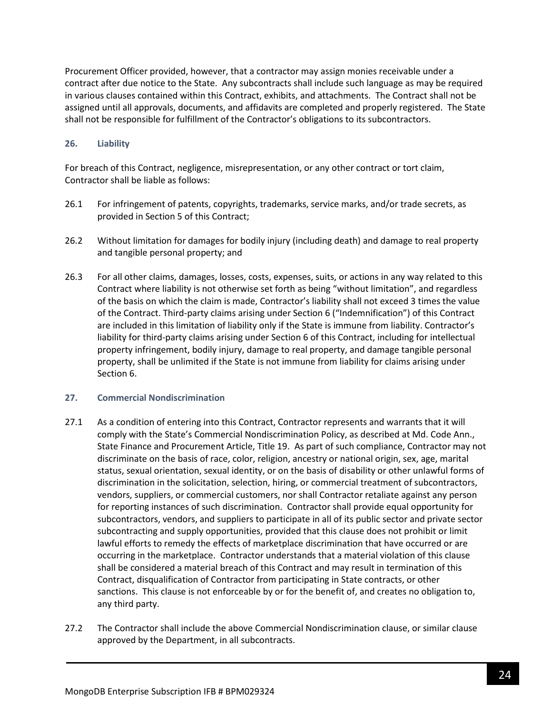Procurement Officer provided, however, that a contractor may assign monies receivable under a contract after due notice to the State. Any subcontracts shall include such language as may be required in various clauses contained within this Contract, exhibits, and attachments. The Contract shall not be assigned until all approvals, documents, and affidavits are completed and properly registered. The State shall not be responsible for fulfillment of the Contractor's obligations to its subcontractors.

### **26. Liability**

For breach of this Contract, negligence, misrepresentation, or any other contract or tort claim, Contractor shall be liable as follows:

- 26.1 For infringement of patents, copyrights, trademarks, service marks, and/or trade secrets, as provided in Section 5 of this Contract;
- 26.2 Without limitation for damages for bodily injury (including death) and damage to real property and tangible personal property; and
- 26.3 For all other claims, damages, losses, costs, expenses, suits, or actions in any way related to this Contract where liability is not otherwise set forth as being "without limitation", and regardless of the basis on which the claim is made, Contractor's liability shall not exceed 3 times the value of the Contract. Third-party claims arising under Section 6 ("Indemnification") of this Contract are included in this limitation of liability only if the State is immune from liability. Contractor's liability for third-party claims arising under Section 6 of this Contract, including for intellectual property infringement, bodily injury, damage to real property, and damage tangible personal property, shall be unlimited if the State is not immune from liability for claims arising under Section 6.

#### **27. Commercial Nondiscrimination**

- 27.1 As a condition of entering into this Contract, Contractor represents and warrants that it will comply with the State's Commercial Nondiscrimination Policy, as described at Md. Code Ann., State Finance and Procurement Article, Title 19. As part of such compliance, Contractor may not discriminate on the basis of race, color, religion, ancestry or national origin, sex, age, marital status, sexual orientation, sexual identity, or on the basis of disability or other unlawful forms of discrimination in the solicitation, selection, hiring, or commercial treatment of subcontractors, vendors, suppliers, or commercial customers, nor shall Contractor retaliate against any person for reporting instances of such discrimination. Contractor shall provide equal opportunity for subcontractors, vendors, and suppliers to participate in all of its public sector and private sector subcontracting and supply opportunities, provided that this clause does not prohibit or limit lawful efforts to remedy the effects of marketplace discrimination that have occurred or are occurring in the marketplace. Contractor understands that a material violation of this clause shall be considered a material breach of this Contract and may result in termination of this Contract, disqualification of Contractor from participating in State contracts, or other sanctions. This clause is not enforceable by or for the benefit of, and creates no obligation to, any third party.
- 27.2 The Contractor shall include the above Commercial Nondiscrimination clause, or similar clause approved by the Department, in all subcontracts.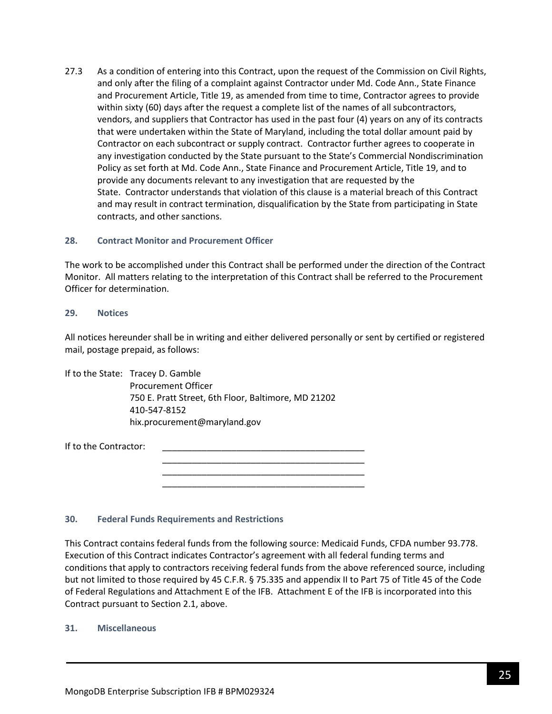27.3 As a condition of entering into this Contract, upon the request of the Commission on Civil Rights, and only after the filing of a complaint against Contractor under Md. Code Ann., State Finance and Procurement Article, Title 19, as amended from time to time, Contractor agrees to provide within sixty (60) days after the request a complete list of the names of all subcontractors, vendors, and suppliers that Contractor has used in the past four (4) years on any of its contracts that were undertaken within the State of Maryland, including the total dollar amount paid by Contractor on each subcontract or supply contract. Contractor further agrees to cooperate in any investigation conducted by the State pursuant to the State's Commercial Nondiscrimination Policy as set forth at Md. Code Ann., State Finance and Procurement Article, Title 19, and to provide any documents relevant to any investigation that are requested by the State. Contractor understands that violation of this clause is a material breach of this Contract and may result in contract termination, disqualification by the State from participating in State contracts, and other sanctions.

#### **28. Contract Monitor and Procurement Officer**

The work to be accomplished under this Contract shall be performed under the direction of the Contract Monitor. All matters relating to the interpretation of this Contract shall be referred to the Procurement Officer for determination.

#### **29. Notices**

All notices hereunder shall be in writing and either delivered personally or sent by certified or registered mail, postage prepaid, as follows:

> \_\_\_\_\_\_\_\_\_\_\_\_\_\_\_\_\_\_\_\_\_\_\_\_\_\_\_\_\_\_\_\_\_\_\_\_\_\_\_\_\_ \_\_\_\_\_\_\_\_\_\_\_\_\_\_\_\_\_\_\_\_\_\_\_\_\_\_\_\_\_\_\_\_\_\_\_\_\_\_\_\_\_ \_\_\_\_\_\_\_\_\_\_\_\_\_\_\_\_\_\_\_\_\_\_\_\_\_\_\_\_\_\_\_\_\_\_\_\_\_\_\_\_\_

If to the State: Tracey D. Gamble Procurement Officer 750 E. Pratt Street, 6th Floor, Baltimore, MD 21202 410-547-8152 hix.procurement@maryland.gov

If to the Contractor:

#### **30. Federal Funds Requirements and Restrictions**

This Contract contains federal funds from the following source: Medicaid Funds, CFDA number 93.778. Execution of this Contract indicates Contractor's agreement with all federal funding terms and conditions that apply to contractors receiving federal funds from the above referenced source, including but not limited to those required by 45 C.F.R. § 75.335 and appendix II to Part 75 of Title 45 of the Code of Federal Regulations and Attachment E of the IFB. Attachment E of the IFB is incorporated into this Contract pursuant to Section 2.1, above.

#### **31. Miscellaneous**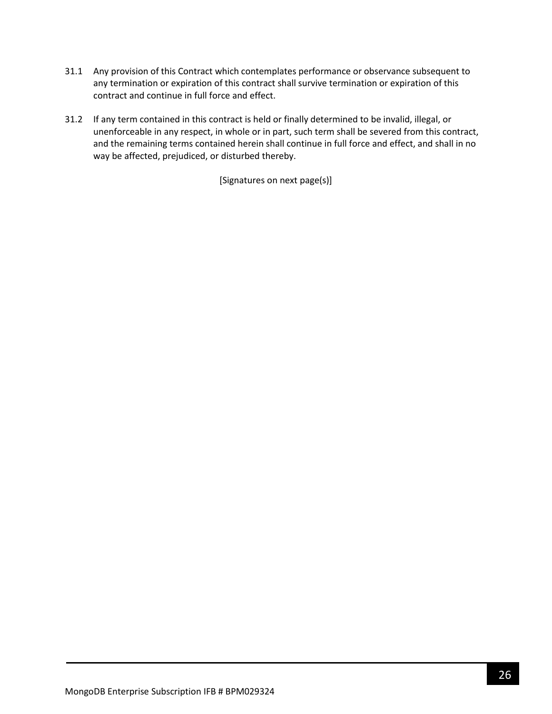- 31.1 Any provision of this Contract which contemplates performance or observance subsequent to any termination or expiration of this contract shall survive termination or expiration of this contract and continue in full force and effect.
- 31.2 If any term contained in this contract is held or finally determined to be invalid, illegal, or unenforceable in any respect, in whole or in part, such term shall be severed from this contract, and the remaining terms contained herein shall continue in full force and effect, and shall in no way be affected, prejudiced, or disturbed thereby.

[Signatures on next page(s)]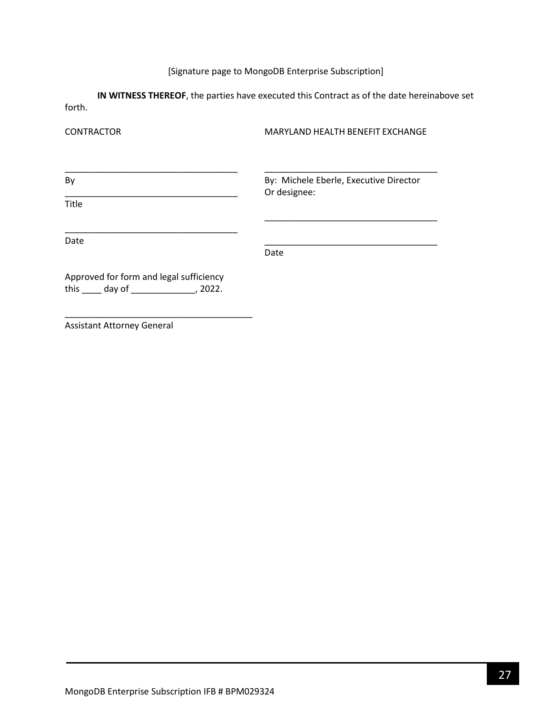# [Signature page to MongoDB Enterprise Subscription]

**IN WITNESS THEREOF**, the parties have executed this Contract as of the date hereinabove set forth.

| <b>CONTRACTOR</b>                                                                            | MARYLAND HEALTH BENEFIT EXCHANGE                       |
|----------------------------------------------------------------------------------------------|--------------------------------------------------------|
| By                                                                                           | By: Michele Eberle, Executive Director<br>Or designee: |
| <b>Title</b>                                                                                 |                                                        |
| Date                                                                                         | Date                                                   |
| Approved for form and legal sufficiency<br>this $\qquad \qquad$ day of $\qquad \qquad$ 2022. |                                                        |

Assistant Attorney General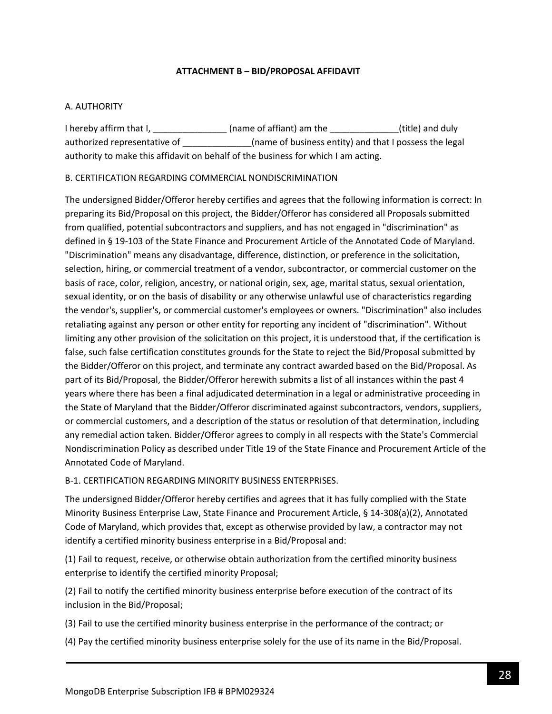### **ATTACHMENT B – BID/PROPOSAL AFFIDAVIT**

### <span id="page-27-0"></span>A. AUTHORITY

I hereby affirm that I, \_\_\_\_\_\_\_\_\_\_\_\_\_\_\_\_\_\_(name of affiant) am the \_\_\_\_\_\_\_\_\_\_\_\_\_\_(title) and duly authorized representative of \_\_\_\_\_\_\_\_\_\_\_\_\_(name of business entity) and that I possess the legal authority to make this affidavit on behalf of the business for which I am acting.

### B. CERTIFICATION REGARDING COMMERCIAL NONDISCRIMINATION

The undersigned Bidder/Offeror hereby certifies and agrees that the following information is correct: In preparing its Bid/Proposal on this project, the Bidder/Offeror has considered all Proposals submitted from qualified, potential subcontractors and suppliers, and has not engaged in "discrimination" as defined in § 19-103 of the State Finance and Procurement Article of the Annotated Code of Maryland. "Discrimination" means any disadvantage, difference, distinction, or preference in the solicitation, selection, hiring, or commercial treatment of a vendor, subcontractor, or commercial customer on the basis of race, color, religion, ancestry, or national origin, sex, age, marital status, sexual orientation, sexual identity, or on the basis of disability or any otherwise unlawful use of characteristics regarding the vendor's, supplier's, or commercial customer's employees or owners. "Discrimination" also includes retaliating against any person or other entity for reporting any incident of "discrimination". Without limiting any other provision of the solicitation on this project, it is understood that, if the certification is false, such false certification constitutes grounds for the State to reject the Bid/Proposal submitted by the Bidder/Offeror on this project, and terminate any contract awarded based on the Bid/Proposal. As part of its Bid/Proposal, the Bidder/Offeror herewith submits a list of all instances within the past 4 years where there has been a final adjudicated determination in a legal or administrative proceeding in the State of Maryland that the Bidder/Offeror discriminated against subcontractors, vendors, suppliers, or commercial customers, and a description of the status or resolution of that determination, including any remedial action taken. Bidder/Offeror agrees to comply in all respects with the State's Commercial Nondiscrimination Policy as described under Title 19 of the State Finance and Procurement Article of the Annotated Code of Maryland.

#### B-1. CERTIFICATION REGARDING MINORITY BUSINESS ENTERPRISES.

The undersigned Bidder/Offeror hereby certifies and agrees that it has fully complied with the State Minority Business Enterprise Law, State Finance and Procurement Article, § 14-308(a)(2), Annotated Code of Maryland, which provides that, except as otherwise provided by law, a contractor may not identify a certified minority business enterprise in a Bid/Proposal and:

(1) Fail to request, receive, or otherwise obtain authorization from the certified minority business enterprise to identify the certified minority Proposal;

(2) Fail to notify the certified minority business enterprise before execution of the contract of its inclusion in the Bid/Proposal;

(3) Fail to use the certified minority business enterprise in the performance of the contract; or

(4) Pay the certified minority business enterprise solely for the use of its name in the Bid/Proposal.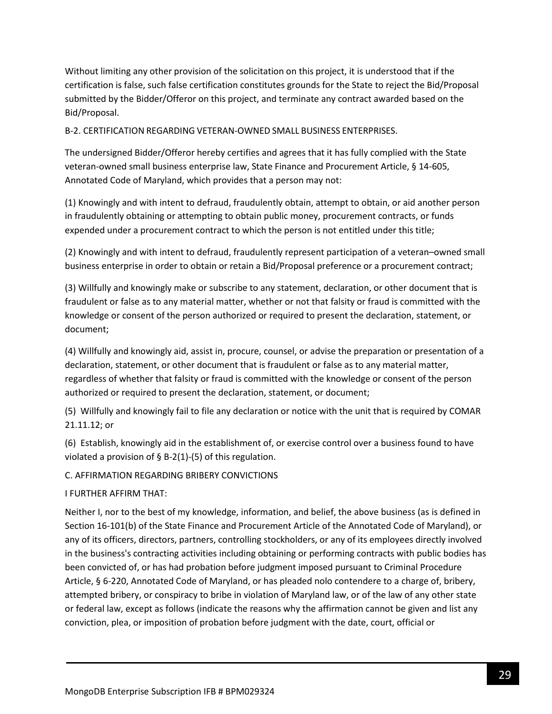Without limiting any other provision of the solicitation on this project, it is understood that if the certification is false, such false certification constitutes grounds for the State to reject the Bid/Proposal submitted by the Bidder/Offeror on this project, and terminate any contract awarded based on the Bid/Proposal.

B-2. CERTIFICATION REGARDING VETERAN-OWNED SMALL BUSINESS ENTERPRISES.

The undersigned Bidder/Offeror hereby certifies and agrees that it has fully complied with the State veteran-owned small business enterprise law, State Finance and Procurement Article, § 14-605, Annotated Code of Maryland, which provides that a person may not:

(1) Knowingly and with intent to defraud, fraudulently obtain, attempt to obtain, or aid another person in fraudulently obtaining or attempting to obtain public money, procurement contracts, or funds expended under a procurement contract to which the person is not entitled under this title;

(2) Knowingly and with intent to defraud, fraudulently represent participation of a veteran–owned small business enterprise in order to obtain or retain a Bid/Proposal preference or a procurement contract;

(3) Willfully and knowingly make or subscribe to any statement, declaration, or other document that is fraudulent or false as to any material matter, whether or not that falsity or fraud is committed with the knowledge or consent of the person authorized or required to present the declaration, statement, or document;

(4) Willfully and knowingly aid, assist in, procure, counsel, or advise the preparation or presentation of a declaration, statement, or other document that is fraudulent or false as to any material matter, regardless of whether that falsity or fraud is committed with the knowledge or consent of the person authorized or required to present the declaration, statement, or document;

(5) Willfully and knowingly fail to file any declaration or notice with the unit that is required by COMAR 21.11.12; or

(6) Establish, knowingly aid in the establishment of, or exercise control over a business found to have violated a provision of  $\S$  B-2(1)-(5) of this regulation.

C. AFFIRMATION REGARDING BRIBERY CONVICTIONS

I FURTHER AFFIRM THAT:

Neither I, nor to the best of my knowledge, information, and belief, the above business (as is defined in Section 16-101(b) of the State Finance and Procurement Article of the Annotated Code of Maryland), or any of its officers, directors, partners, controlling stockholders, or any of its employees directly involved in the business's contracting activities including obtaining or performing contracts with public bodies has been convicted of, or has had probation before judgment imposed pursuant to Criminal Procedure Article, § 6-220, Annotated Code of Maryland, or has pleaded nolo contendere to a charge of, bribery, attempted bribery, or conspiracy to bribe in violation of Maryland law, or of the law of any other state or federal law, except as follows (indicate the reasons why the affirmation cannot be given and list any conviction, plea, or imposition of probation before judgment with the date, court, official or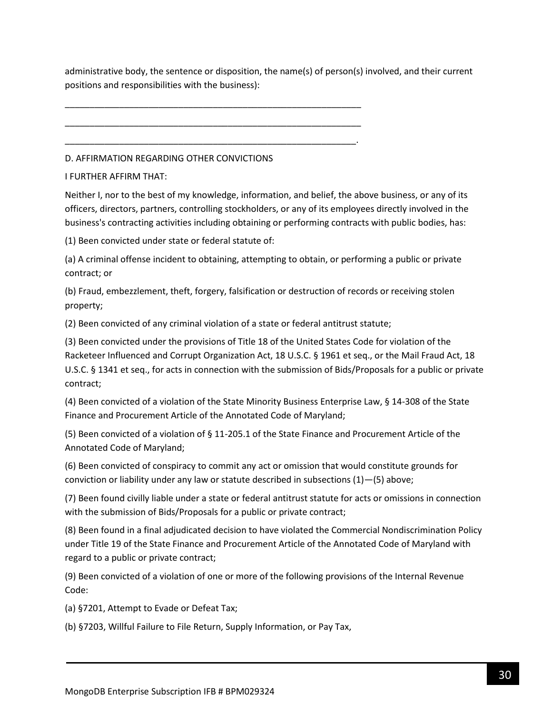administrative body, the sentence or disposition, the name(s) of person(s) involved, and their current positions and responsibilities with the business):

D. AFFIRMATION REGARDING OTHER CONVICTIONS

\_\_\_\_\_\_\_\_\_\_\_\_\_\_\_\_\_\_\_\_\_\_\_\_\_\_\_\_\_\_\_\_\_\_\_\_\_\_\_\_\_\_\_\_\_\_\_\_\_\_\_\_\_\_\_\_\_\_\_\_

\_\_\_\_\_\_\_\_\_\_\_\_\_\_\_\_\_\_\_\_\_\_\_\_\_\_\_\_\_\_\_\_\_\_\_\_\_\_\_\_\_\_\_\_\_\_\_\_\_\_\_\_\_\_\_\_\_\_\_\_

\_\_\_\_\_\_\_\_\_\_\_\_\_\_\_\_\_\_\_\_\_\_\_\_\_\_\_\_\_\_\_\_\_\_\_\_\_\_\_\_\_\_\_\_\_\_\_\_\_\_\_\_\_\_\_\_\_\_\_.

I FURTHER AFFIRM THAT:

Neither I, nor to the best of my knowledge, information, and belief, the above business, or any of its officers, directors, partners, controlling stockholders, or any of its employees directly involved in the business's contracting activities including obtaining or performing contracts with public bodies, has:

(1) Been convicted under state or federal statute of:

(a) A criminal offense incident to obtaining, attempting to obtain, or performing a public or private contract; or

(b) Fraud, embezzlement, theft, forgery, falsification or destruction of records or receiving stolen property;

(2) Been convicted of any criminal violation of a state or federal antitrust statute;

(3) Been convicted under the provisions of Title 18 of the United States Code for violation of the Racketeer Influenced and Corrupt Organization Act, 18 U.S.C. § 1961 et seq., or the Mail Fraud Act, 18 U.S.C. § 1341 et seq., for acts in connection with the submission of Bids/Proposals for a public or private contract;

(4) Been convicted of a violation of the State Minority Business Enterprise Law, § 14-308 of the State Finance and Procurement Article of the Annotated Code of Maryland;

(5) Been convicted of a violation of § 11-205.1 of the State Finance and Procurement Article of the Annotated Code of Maryland;

(6) Been convicted of conspiracy to commit any act or omission that would constitute grounds for conviction or liability under any law or statute described in subsections (1)—(5) above;

(7) Been found civilly liable under a state or federal antitrust statute for acts or omissions in connection with the submission of Bids/Proposals for a public or private contract;

(8) Been found in a final adjudicated decision to have violated the Commercial Nondiscrimination Policy under Title 19 of the State Finance and Procurement Article of the Annotated Code of Maryland with regard to a public or private contract;

(9) Been convicted of a violation of one or more of the following provisions of the Internal Revenue Code:

(a) §7201, Attempt to Evade or Defeat Tax;

(b) §7203, Willful Failure to File Return, Supply Information, or Pay Tax,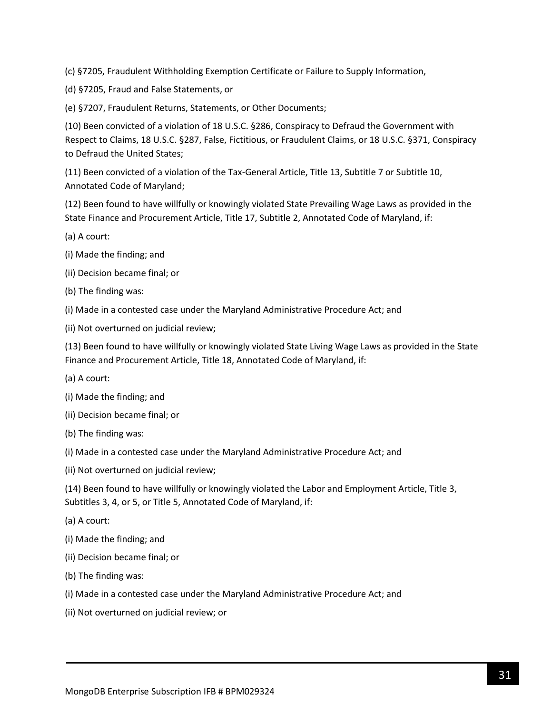(c) §7205, Fraudulent Withholding Exemption Certificate or Failure to Supply Information,

(d) §7205, Fraud and False Statements, or

(e) §7207, Fraudulent Returns, Statements, or Other Documents;

(10) Been convicted of a violation of 18 U.S.C. §286, Conspiracy to Defraud the Government with Respect to Claims, 18 U.S.C. §287, False, Fictitious, or Fraudulent Claims, or 18 U.S.C. §371, Conspiracy to Defraud the United States;

(11) Been convicted of a violation of the Tax-General Article, Title 13, Subtitle 7 or Subtitle 10, Annotated Code of Maryland;

(12) Been found to have willfully or knowingly violated State Prevailing Wage Laws as provided in the State Finance and Procurement Article, Title 17, Subtitle 2, Annotated Code of Maryland, if:

- (a) A court:
- (i) Made the finding; and
- (ii) Decision became final; or
- (b) The finding was:
- (i) Made in a contested case under the Maryland Administrative Procedure Act; and
- (ii) Not overturned on judicial review;

(13) Been found to have willfully or knowingly violated State Living Wage Laws as provided in the State Finance and Procurement Article, Title 18, Annotated Code of Maryland, if:

- (a) A court:
- (i) Made the finding; and
- (ii) Decision became final; or
- (b) The finding was:
- (i) Made in a contested case under the Maryland Administrative Procedure Act; and
- (ii) Not overturned on judicial review;

(14) Been found to have willfully or knowingly violated the Labor and Employment Article, Title 3, Subtitles 3, 4, or 5, or Title 5, Annotated Code of Maryland, if:

- (a) A court:
- (i) Made the finding; and
- (ii) Decision became final; or
- (b) The finding was:
- (i) Made in a contested case under the Maryland Administrative Procedure Act; and
- (ii) Not overturned on judicial review; or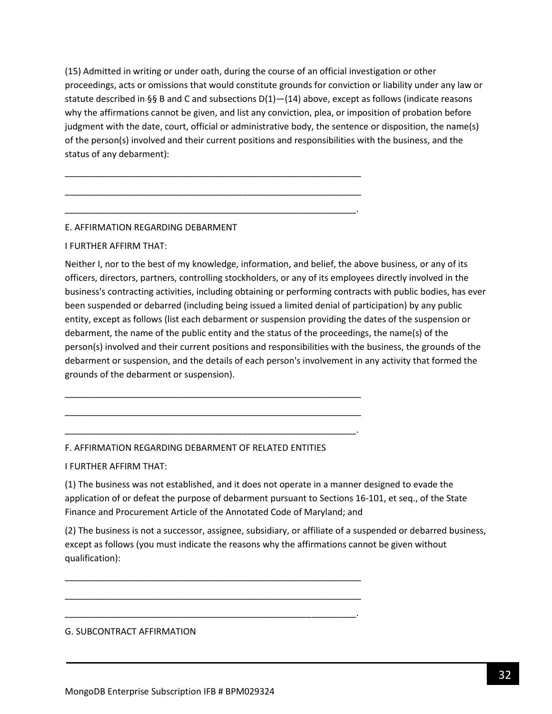(15) Admitted in writing or under oath, during the course of an official investigation or other proceedings, acts or omissions that would constitute grounds for conviction or liability under any law or statute described in §§ B and C and subsections  $D(1)$ — $(14)$  above, except as follows (indicate reasons why the affirmations cannot be given, and list any conviction, plea, or imposition of probation before judgment with the date, court, official or administrative body, the sentence or disposition, the name(s) of the person(s) involved and their current positions and responsibilities with the business, and the status of any debarment):

\_\_\_\_\_\_\_\_\_\_\_\_\_\_\_\_\_\_\_\_\_\_\_\_\_\_\_\_\_\_\_\_\_\_\_\_\_\_\_\_\_\_\_\_\_\_\_\_\_\_\_\_\_\_\_\_\_\_\_\_

\_\_\_\_\_\_\_\_\_\_\_\_\_\_\_\_\_\_\_\_\_\_\_\_\_\_\_\_\_\_\_\_\_\_\_\_\_\_\_\_\_\_\_\_\_\_\_\_\_\_\_\_\_\_\_\_\_\_\_\_

\_\_\_\_\_\_\_\_\_\_\_\_\_\_\_\_\_\_\_\_\_\_\_\_\_\_\_\_\_\_\_\_\_\_\_\_\_\_\_\_\_\_\_\_\_\_\_\_\_\_\_\_\_\_\_\_\_\_\_.

### E. AFFIRMATION REGARDING DEBARMENT

#### I FURTHER AFFIRM THAT:

Neither I, nor to the best of my knowledge, information, and belief, the above business, or any of its officers, directors, partners, controlling stockholders, or any of its employees directly involved in the business's contracting activities, including obtaining or performing contracts with public bodies, has ever been suspended or debarred (including being issued a limited denial of participation) by any public entity, except as follows (list each debarment or suspension providing the dates of the suspension or debarment, the name of the public entity and the status of the proceedings, the name(s) of the person(s) involved and their current positions and responsibilities with the business, the grounds of the debarment or suspension, and the details of each person's involvement in any activity that formed the grounds of the debarment or suspension).

#### F. AFFIRMATION REGARDING DEBARMENT OF RELATED ENTITIES

\_\_\_\_\_\_\_\_\_\_\_\_\_\_\_\_\_\_\_\_\_\_\_\_\_\_\_\_\_\_\_\_\_\_\_\_\_\_\_\_\_\_\_\_\_\_\_\_\_\_\_\_\_\_\_\_\_\_\_\_

\_\_\_\_\_\_\_\_\_\_\_\_\_\_\_\_\_\_\_\_\_\_\_\_\_\_\_\_\_\_\_\_\_\_\_\_\_\_\_\_\_\_\_\_\_\_\_\_\_\_\_\_\_\_\_\_\_\_\_\_

\_\_\_\_\_\_\_\_\_\_\_\_\_\_\_\_\_\_\_\_\_\_\_\_\_\_\_\_\_\_\_\_\_\_\_\_\_\_\_\_\_\_\_\_\_\_\_\_\_\_\_\_\_\_\_\_\_\_\_.

\_\_\_\_\_\_\_\_\_\_\_\_\_\_\_\_\_\_\_\_\_\_\_\_\_\_\_\_\_\_\_\_\_\_\_\_\_\_\_\_\_\_\_\_\_\_\_\_\_\_\_\_\_\_\_\_\_\_\_\_

\_\_\_\_\_\_\_\_\_\_\_\_\_\_\_\_\_\_\_\_\_\_\_\_\_\_\_\_\_\_\_\_\_\_\_\_\_\_\_\_\_\_\_\_\_\_\_\_\_\_\_\_\_\_\_\_\_\_\_\_

\_\_\_\_\_\_\_\_\_\_\_\_\_\_\_\_\_\_\_\_\_\_\_\_\_\_\_\_\_\_\_\_\_\_\_\_\_\_\_\_\_\_\_\_\_\_\_\_\_\_\_\_\_\_\_\_\_\_\_.

I FURTHER AFFIRM THAT:

(1) The business was not established, and it does not operate in a manner designed to evade the application of or defeat the purpose of debarment pursuant to Sections 16-101, et seq., of the State Finance and Procurement Article of the Annotated Code of Maryland; and

(2) The business is not a successor, assignee, subsidiary, or affiliate of a suspended or debarred business, except as follows (you must indicate the reasons why the affirmations cannot be given without qualification):

#### G. SUBCONTRACT AFFIRMATION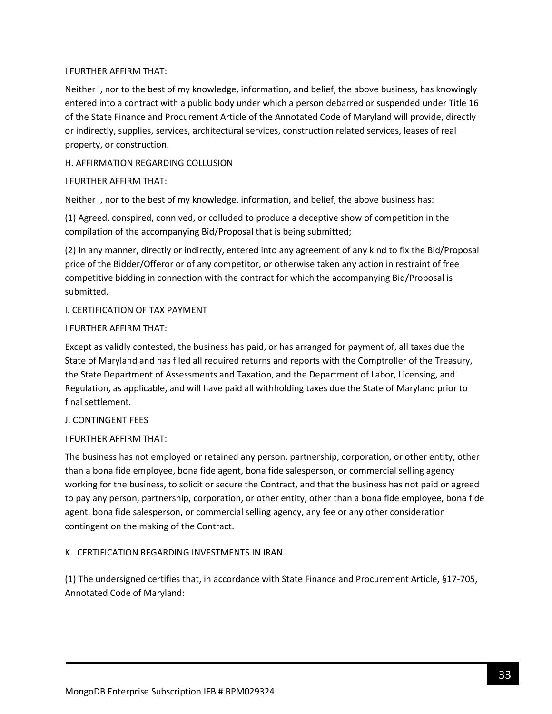### I FURTHER AFFIRM THAT:

Neither I, nor to the best of my knowledge, information, and belief, the above business, has knowingly entered into a contract with a public body under which a person debarred or suspended under Title 16 of the State Finance and Procurement Article of the Annotated Code of Maryland will provide, directly or indirectly, supplies, services, architectural services, construction related services, leases of real property, or construction.

### H. AFFIRMATION REGARDING COLLUSION

### I FURTHER AFFIRM THAT:

Neither I, nor to the best of my knowledge, information, and belief, the above business has:

(1) Agreed, conspired, connived, or colluded to produce a deceptive show of competition in the compilation of the accompanying Bid/Proposal that is being submitted;

(2) In any manner, directly or indirectly, entered into any agreement of any kind to fix the Bid/Proposal price of the Bidder/Offeror or of any competitor, or otherwise taken any action in restraint of free competitive bidding in connection with the contract for which the accompanying Bid/Proposal is submitted.

### I. CERTIFICATION OF TAX PAYMENT

#### I FURTHER AFFIRM THAT:

Except as validly contested, the business has paid, or has arranged for payment of, all taxes due the State of Maryland and has filed all required returns and reports with the Comptroller of the Treasury, the State Department of Assessments and Taxation, and the Department of Labor, Licensing, and Regulation, as applicable, and will have paid all withholding taxes due the State of Maryland prior to final settlement.

#### J. CONTINGENT FEES

# I FURTHER AFFIRM THAT:

The business has not employed or retained any person, partnership, corporation, or other entity, other than a bona fide employee, bona fide agent, bona fide salesperson, or commercial selling agency working for the business, to solicit or secure the Contract, and that the business has not paid or agreed to pay any person, partnership, corporation, or other entity, other than a bona fide employee, bona fide agent, bona fide salesperson, or commercial selling agency, any fee or any other consideration contingent on the making of the Contract.

# K. CERTIFICATION REGARDING INVESTMENTS IN IRAN

(1) The undersigned certifies that, in accordance with State Finance and Procurement Article, §17-705, Annotated Code of Maryland: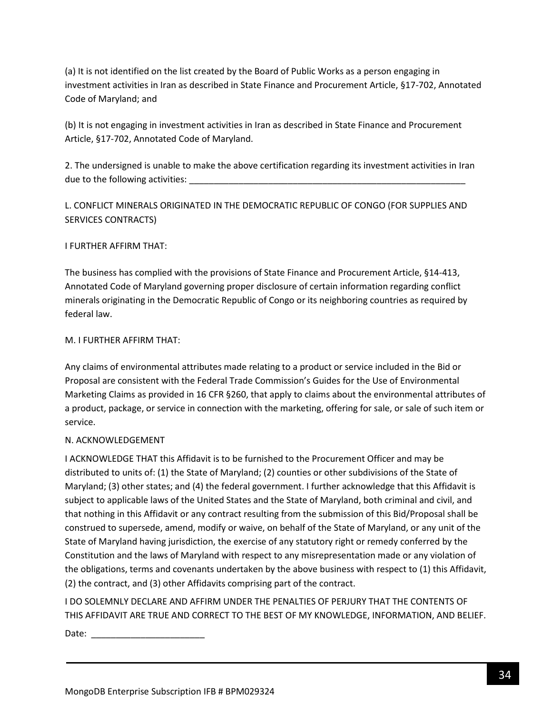(a) It is not identified on the list created by the Board of Public Works as a person engaging in investment activities in Iran as described in State Finance and Procurement Article, §17-702, Annotated Code of Maryland; and

(b) It is not engaging in investment activities in Iran as described in State Finance and Procurement Article, §17-702, Annotated Code of Maryland.

2. The undersigned is unable to make the above certification regarding its investment activities in Iran due to the following activities:

L. CONFLICT MINERALS ORIGINATED IN THE DEMOCRATIC REPUBLIC OF CONGO (FOR SUPPLIES AND SERVICES CONTRACTS)

# I FURTHER AFFIRM THAT:

The business has complied with the provisions of State Finance and Procurement Article, §14-413, Annotated Code of Maryland governing proper disclosure of certain information regarding conflict minerals originating in the Democratic Republic of Congo or its neighboring countries as required by federal law.

#### M. I FURTHER AFFIRM THAT:

Any claims of environmental attributes made relating to a product or service included in the Bid or Proposal are consistent with the Federal Trade Commission's Guides for the Use of Environmental Marketing Claims as provided in 16 CFR §260, that apply to claims about the environmental attributes of a product, package, or service in connection with the marketing, offering for sale, or sale of such item or service.

# N. ACKNOWLEDGEMENT

I ACKNOWLEDGE THAT this Affidavit is to be furnished to the Procurement Officer and may be distributed to units of: (1) the State of Maryland; (2) counties or other subdivisions of the State of Maryland; (3) other states; and (4) the federal government. I further acknowledge that this Affidavit is subject to applicable laws of the United States and the State of Maryland, both criminal and civil, and that nothing in this Affidavit or any contract resulting from the submission of this Bid/Proposal shall be construed to supersede, amend, modify or waive, on behalf of the State of Maryland, or any unit of the State of Maryland having jurisdiction, the exercise of any statutory right or remedy conferred by the Constitution and the laws of Maryland with respect to any misrepresentation made or any violation of the obligations, terms and covenants undertaken by the above business with respect to (1) this Affidavit, (2) the contract, and (3) other Affidavits comprising part of the contract.

I DO SOLEMNLY DECLARE AND AFFIRM UNDER THE PENALTIES OF PERJURY THAT THE CONTENTS OF THIS AFFIDAVIT ARE TRUE AND CORRECT TO THE BEST OF MY KNOWLEDGE, INFORMATION, AND BELIEF.

Date:  $\frac{1}{\sqrt{2\pi}}$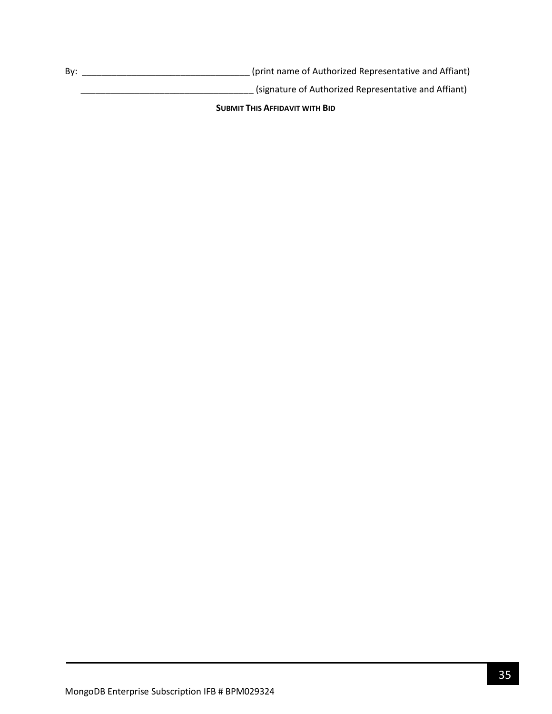By: \_\_\_\_\_\_\_\_\_\_\_\_\_\_\_\_\_\_\_\_\_\_\_\_\_\_\_\_\_\_\_\_\_\_ (print name of Authorized Representative and Affiant)

\_\_\_\_\_\_\_\_\_\_\_\_\_\_\_\_\_\_\_\_\_\_\_\_\_\_\_\_\_\_\_\_\_\_\_ (signature of Authorized Representative and Affiant)

**SUBMIT THIS AFFIDAVIT WITH BID**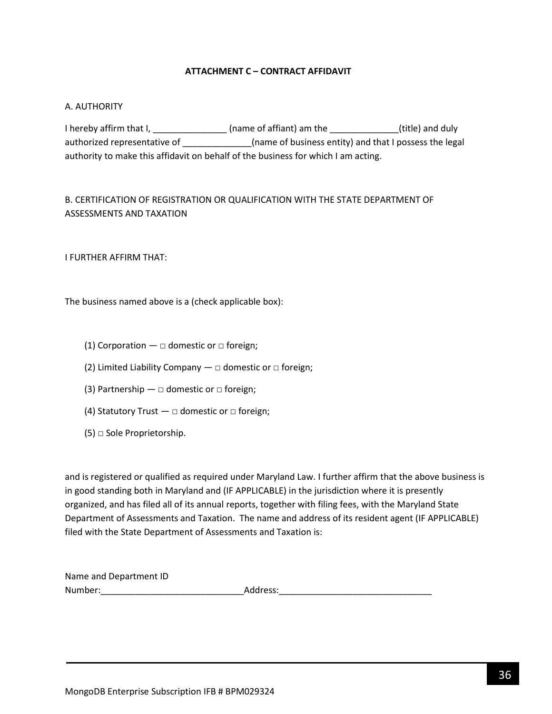### **ATTACHMENT C – CONTRACT AFFIDAVIT**

#### <span id="page-35-0"></span>A. AUTHORITY

I hereby affirm that I, \_\_\_\_\_\_\_\_\_\_\_\_\_\_\_\_\_(name of affiant) am the \_\_\_\_\_\_\_\_\_\_\_\_\_\_(title) and duly authorized representative of \_\_\_\_\_\_\_\_\_\_\_\_\_\_\_\_(name of business entity) and that I possess the legal authority to make this affidavit on behalf of the business for which I am acting.

# B. CERTIFICATION OF REGISTRATION OR QUALIFICATION WITH THE STATE DEPARTMENT OF ASSESSMENTS AND TAXATION

I FURTHER AFFIRM THAT:

The business named above is a (check applicable box):

- (1) Corporation  $\Box$  domestic or  $\Box$  foreign;
- (2) Limited Liability Company  $-\Box$  domestic or  $\Box$  foreign;
- (3) Partnership  $\Box$  domestic or  $\Box$  foreign;
- (4) Statutory Trust  $\Box$  domestic or  $\Box$  foreign;
- $(5)$   $\Box$  Sole Proprietorship.

and is registered or qualified as required under Maryland Law. I further affirm that the above business is in good standing both in Maryland and (IF APPLICABLE) in the jurisdiction where it is presently organized, and has filed all of its annual reports, together with filing fees, with the Maryland State Department of Assessments and Taxation. The name and address of its resident agent (IF APPLICABLE) filed with the State Department of Assessments and Taxation is:

| Name and Department ID |          |
|------------------------|----------|
| Number:                | Address: |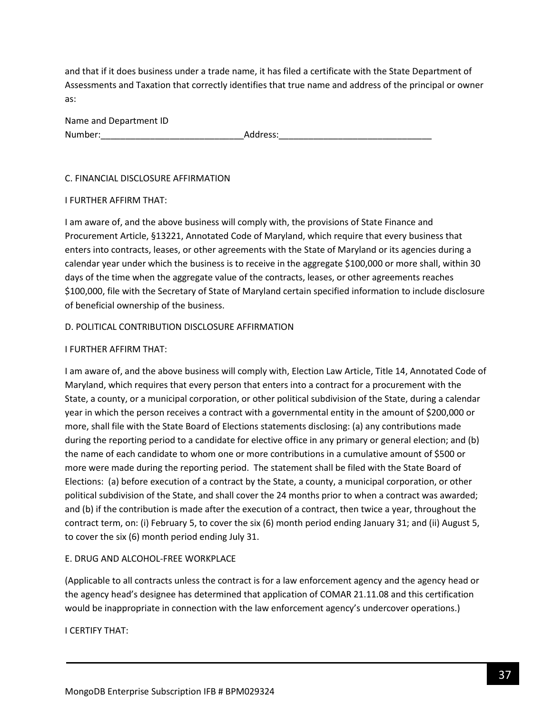and that if it does business under a trade name, it has filed a certificate with the State Department of Assessments and Taxation that correctly identifies that true name and address of the principal or owner as:

| Name and Department ID |          |
|------------------------|----------|
| Number:                | Address: |

#### C. FINANCIAL DISCLOSURE AFFIRMATION

#### I FURTHER AFFIRM THAT:

I am aware of, and the above business will comply with, the provisions of State Finance and Procurement Article, §13221, Annotated Code of Maryland, which require that every business that enters into contracts, leases, or other agreements with the State of Maryland or its agencies during a calendar year under which the business is to receive in the aggregate \$100,000 or more shall, within 30 days of the time when the aggregate value of the contracts, leases, or other agreements reaches \$100,000, file with the Secretary of State of Maryland certain specified information to include disclosure of beneficial ownership of the business.

### D. POLITICAL CONTRIBUTION DISCLOSURE AFFIRMATION

### I FURTHER AFFIRM THAT:

I am aware of, and the above business will comply with, Election Law Article, Title 14, Annotated Code of Maryland, which requires that every person that enters into a contract for a procurement with the State, a county, or a municipal corporation, or other political subdivision of the State, during a calendar year in which the person receives a contract with a governmental entity in the amount of \$200,000 or more, shall file with the State Board of Elections statements disclosing: (a) any contributions made during the reporting period to a candidate for elective office in any primary or general election; and (b) the name of each candidate to whom one or more contributions in a cumulative amount of \$500 or more were made during the reporting period. The statement shall be filed with the State Board of Elections: (a) before execution of a contract by the State, a county, a municipal corporation, or other political subdivision of the State, and shall cover the 24 months prior to when a contract was awarded; and (b) if the contribution is made after the execution of a contract, then twice a year, throughout the contract term, on: (i) February 5, to cover the six (6) month period ending January 31; and (ii) August 5, to cover the six (6) month period ending July 31.

# E. DRUG AND ALCOHOL-FREE WORKPLACE

(Applicable to all contracts unless the contract is for a law enforcement agency and the agency head or the agency head's designee has determined that application of COMAR 21.11.08 and this certification would be inappropriate in connection with the law enforcement agency's undercover operations.)

I CERTIFY THAT: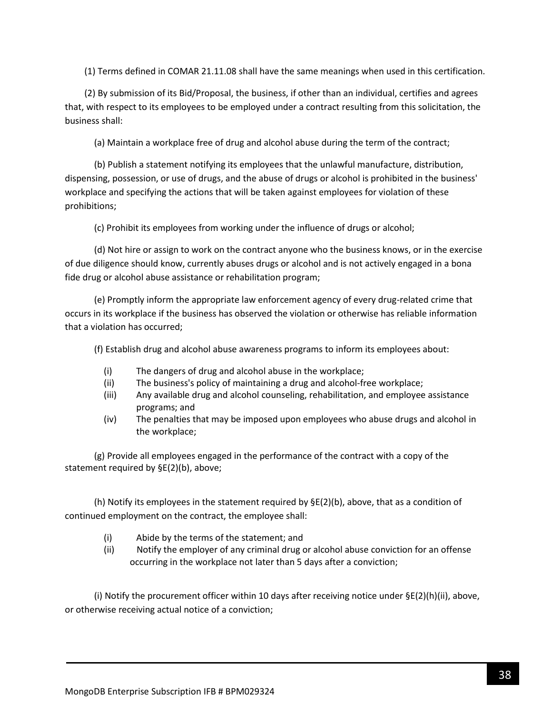(1) Terms defined in COMAR 21.11.08 shall have the same meanings when used in this certification.

(2) By submission of its Bid/Proposal, the business, if other than an individual, certifies and agrees that, with respect to its employees to be employed under a contract resulting from this solicitation, the business shall:

(a) Maintain a workplace free of drug and alcohol abuse during the term of the contract;

(b) Publish a statement notifying its employees that the unlawful manufacture, distribution, dispensing, possession, or use of drugs, and the abuse of drugs or alcohol is prohibited in the business' workplace and specifying the actions that will be taken against employees for violation of these prohibitions;

(c) Prohibit its employees from working under the influence of drugs or alcohol;

(d) Not hire or assign to work on the contract anyone who the business knows, or in the exercise of due diligence should know, currently abuses drugs or alcohol and is not actively engaged in a bona fide drug or alcohol abuse assistance or rehabilitation program;

(e) Promptly inform the appropriate law enforcement agency of every drug-related crime that occurs in its workplace if the business has observed the violation or otherwise has reliable information that a violation has occurred;

(f) Establish drug and alcohol abuse awareness programs to inform its employees about:

- (i) The dangers of drug and alcohol abuse in the workplace;
- (ii) The business's policy of maintaining a drug and alcohol-free workplace;
- (iii) Any available drug and alcohol counseling, rehabilitation, and employee assistance programs; and
- (iv) The penalties that may be imposed upon employees who abuse drugs and alcohol in the workplace;

(g) Provide all employees engaged in the performance of the contract with a copy of the statement required by §E(2)(b), above;

(h) Notify its employees in the statement required by  $\Sigma(2)$ (b), above, that as a condition of continued employment on the contract, the employee shall:

- (i) Abide by the terms of the statement; and
- (ii) Notify the employer of any criminal drug or alcohol abuse conviction for an offense occurring in the workplace not later than 5 days after a conviction;

(i) Notify the procurement officer within 10 days after receiving notice under  $\Sigma(2)(h)(ii)$ , above, or otherwise receiving actual notice of a conviction;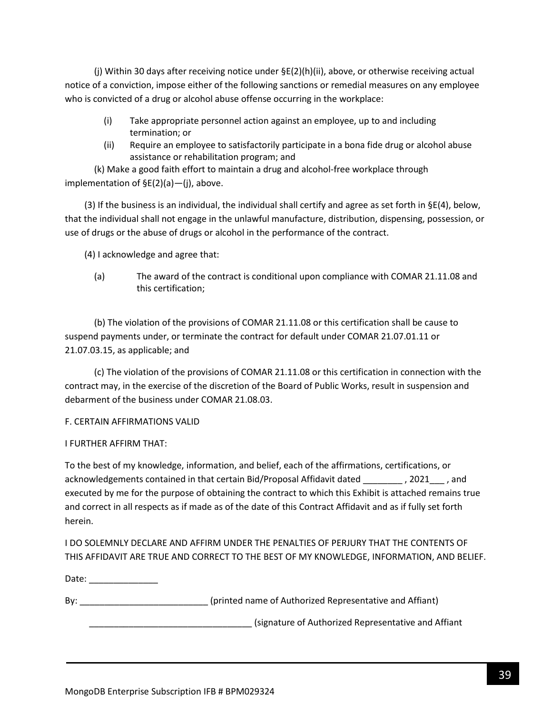(j) Within 30 days after receiving notice under §E(2)(h)(ii), above, or otherwise receiving actual notice of a conviction, impose either of the following sanctions or remedial measures on any employee who is convicted of a drug or alcohol abuse offense occurring in the workplace:

- (i) Take appropriate personnel action against an employee, up to and including termination; or
- (ii) Require an employee to satisfactorily participate in a bona fide drug or alcohol abuse assistance or rehabilitation program; and

(k) Make a good faith effort to maintain a drug and alcohol-free workplace through implementation of §E(2)(a)—(j), above.

(3) If the business is an individual, the individual shall certify and agree as set forth in  $\S E(4)$ , below, that the individual shall not engage in the unlawful manufacture, distribution, dispensing, possession, or use of drugs or the abuse of drugs or alcohol in the performance of the contract.

(4) I acknowledge and agree that:

(a) The award of the contract is conditional upon compliance with COMAR 21.11.08 and this certification;

(b) The violation of the provisions of COMAR 21.11.08 or this certification shall be cause to suspend payments under, or terminate the contract for default under COMAR 21.07.01.11 or 21.07.03.15, as applicable; and

(c) The violation of the provisions of COMAR 21.11.08 or this certification in connection with the contract may, in the exercise of the discretion of the Board of Public Works, result in suspension and debarment of the business under COMAR 21.08.03.

# F. CERTAIN AFFIRMATIONS VALID

# I FURTHER AFFIRM THAT:

To the best of my knowledge, information, and belief, each of the affirmations, certifications, or acknowledgements contained in that certain Bid/Proposal Affidavit dated \_\_\_\_\_\_\_\_ , 2021\_\_\_ , and executed by me for the purpose of obtaining the contract to which this Exhibit is attached remains true and correct in all respects as if made as of the date of this Contract Affidavit and as if fully set forth herein.

I DO SOLEMNLY DECLARE AND AFFIRM UNDER THE PENALTIES OF PERJURY THAT THE CONTENTS OF THIS AFFIDAVIT ARE TRUE AND CORRECT TO THE BEST OF MY KNOWLEDGE, INFORMATION, AND BELIEF.

Date: \_\_\_\_\_\_\_\_\_\_\_\_\_\_\_

By: example and the state of authorized Representative and Affiant)

\_\_\_\_\_\_\_\_\_\_\_\_\_\_\_\_\_\_\_\_\_\_\_\_\_\_\_\_\_\_\_\_\_ (signature of Authorized Representative and Affiant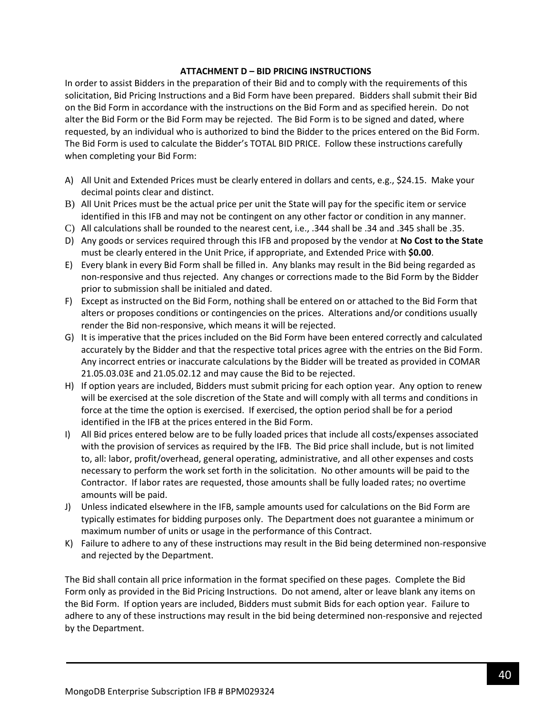#### **ATTACHMENT D – BID PRICING INSTRUCTIONS**

In order to assist Bidders in the preparation of their Bid and to comply with the requirements of this solicitation, Bid Pricing Instructions and a Bid Form have been prepared. Bidders shall submit their Bid on the Bid Form in accordance with the instructions on the Bid Form and as specified herein. Do not alter the Bid Form or the Bid Form may be rejected. The Bid Form is to be signed and dated, where requested, by an individual who is authorized to bind the Bidder to the prices entered on the Bid Form. The Bid Form is used to calculate the Bidder's TOTAL BID PRICE. Follow these instructions carefully when completing your Bid Form:

- A) All Unit and Extended Prices must be clearly entered in dollars and cents, e.g., \$24.15. Make your decimal points clear and distinct.
- B) All Unit Prices must be the actual price per unit the State will pay for the specific item or service identified in this IFB and may not be contingent on any other factor or condition in any manner.
- C) All calculations shall be rounded to the nearest cent, i.e., .344 shall be .34 and .345 shall be .35.
- D) Any goods or services required through this IFB and proposed by the vendor at **No Cost to the State** must be clearly entered in the Unit Price, if appropriate, and Extended Price with **\$0.00**.
- E) Every blank in every Bid Form shall be filled in. Any blanks may result in the Bid being regarded as non-responsive and thus rejected. Any changes or corrections made to the Bid Form by the Bidder prior to submission shall be initialed and dated.
- F) Except as instructed on the Bid Form, nothing shall be entered on or attached to the Bid Form that alters or proposes conditions or contingencies on the prices. Alterations and/or conditions usually render the Bid non-responsive, which means it will be rejected.
- G) It is imperative that the prices included on the Bid Form have been entered correctly and calculated accurately by the Bidder and that the respective total prices agree with the entries on the Bid Form. Any incorrect entries or inaccurate calculations by the Bidder will be treated as provided in COMAR 21.05.03.03E and 21.05.02.12 and may cause the Bid to be rejected.
- H) If option years are included, Bidders must submit pricing for each option year. Any option to renew will be exercised at the sole discretion of the State and will comply with all terms and conditions in force at the time the option is exercised. If exercised, the option period shall be for a period identified in the IFB at the prices entered in the Bid Form.
- I) All Bid prices entered below are to be fully loaded prices that include all costs/expenses associated with the provision of services as required by the IFB. The Bid price shall include, but is not limited to, all: labor, profit/overhead, general operating, administrative, and all other expenses and costs necessary to perform the work set forth in the solicitation. No other amounts will be paid to the Contractor. If labor rates are requested, those amounts shall be fully loaded rates; no overtime amounts will be paid.
- J) Unless indicated elsewhere in the IFB, sample amounts used for calculations on the Bid Form are typically estimates for bidding purposes only. The Department does not guarantee a minimum or maximum number of units or usage in the performance of this Contract.
- K) Failure to adhere to any of these instructions may result in the Bid being determined non-responsive and rejected by the Department.

The Bid shall contain all price information in the format specified on these pages. Complete the Bid Form only as provided in the Bid Pricing Instructions. Do not amend, alter or leave blank any items on the Bid Form. If option years are included, Bidders must submit Bids for each option year. Failure to adhere to any of these instructions may result in the bid being determined non-responsive and rejected by the Department.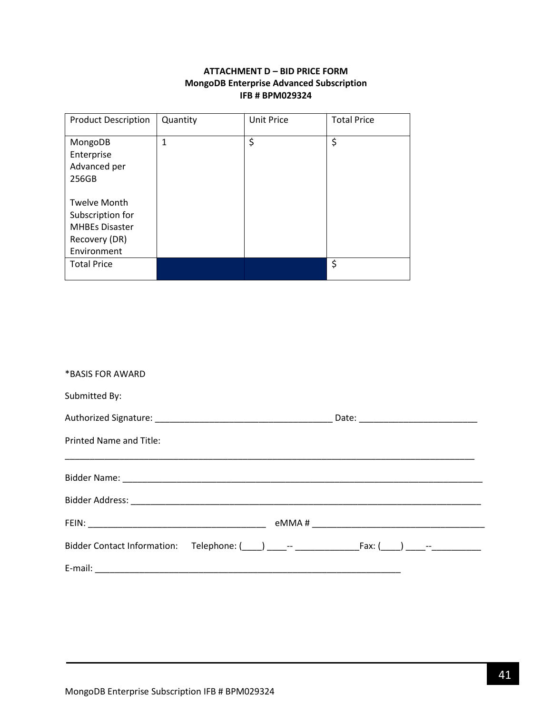# **ATTACHMENT D – BID PRICE FORM MongoDB Enterprise Advanced Subscription IFB # BPM029324**

<span id="page-40-0"></span>

| <b>Product Description</b>                                                                       | Quantity | <b>Unit Price</b> | <b>Total Price</b> |
|--------------------------------------------------------------------------------------------------|----------|-------------------|--------------------|
| MongoDB<br>Enterprise<br>Advanced per<br>256GB                                                   | 1        | \$                | \$                 |
| <b>Twelve Month</b><br>Subscription for<br><b>MHBEs Disaster</b><br>Recovery (DR)<br>Environment |          |                   |                    |
| <b>Total Price</b>                                                                               |          |                   | \$                 |

| *BASIS FOR AWARD        |                                                                                                     |
|-------------------------|-----------------------------------------------------------------------------------------------------|
| Submitted By:           |                                                                                                     |
|                         |                                                                                                     |
| Printed Name and Title: |                                                                                                     |
|                         |                                                                                                     |
|                         |                                                                                                     |
|                         |                                                                                                     |
|                         | Bidder Contact Information: Telephone: (100) 100 --- 100 --- 100 --- Fax: (200) 200 --- 100 --- 100 |
|                         |                                                                                                     |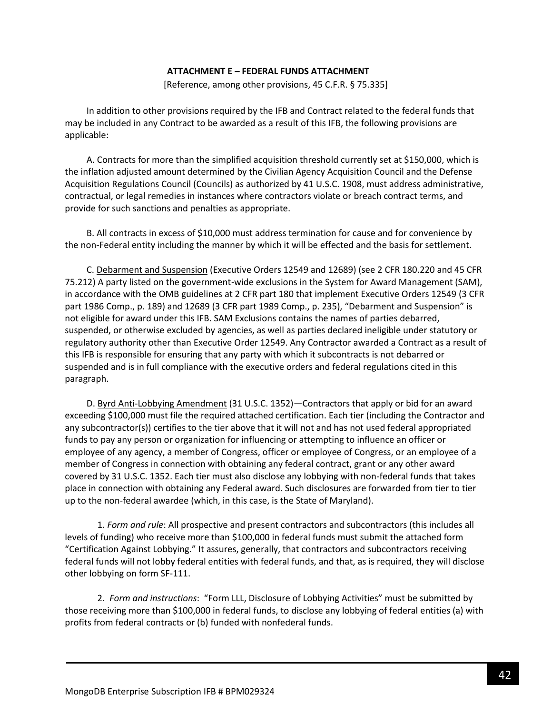#### **ATTACHMENT E – FEDERAL FUNDS ATTACHMENT**

[Reference, among other provisions, 45 C.F.R. § 75.335]

<span id="page-41-0"></span>In addition to other provisions required by the IFB and Contract related to the federal funds that may be included in any Contract to be awarded as a result of this IFB, the following provisions are applicable:

A. Contracts for more than the simplified acquisition threshold currently set at \$150,000, which is the inflation adjusted amount determined by the Civilian Agency Acquisition Council and the Defense Acquisition Regulations Council (Councils) as authorized by 41 U.S.C. 1908, must address administrative, contractual, or legal remedies in instances where contractors violate or breach contract terms, and provide for such sanctions and penalties as appropriate.

B. All contracts in excess of \$10,000 must address termination for cause and for convenience by the non-Federal entity including the manner by which it will be effected and the basis for settlement.

C. Debarment and Suspension (Executive Orders 12549 and 12689) (see 2 CFR 180.220 and 45 CFR 75.212) A party listed on the government-wide exclusions in the System for Award Management (SAM), in accordance with the OMB guidelines at 2 CFR part 180 that implement Executive Orders 12549 (3 CFR part 1986 Comp., p. 189) and 12689 (3 CFR part 1989 Comp., p. 235), "Debarment and Suspension" is not eligible for award under this IFB. SAM Exclusions contains the names of parties debarred, suspended, or otherwise excluded by agencies, as well as parties declared ineligible under statutory or regulatory authority other than Executive Order 12549. Any Contractor awarded a Contract as a result of this IFB is responsible for ensuring that any party with which it subcontracts is not debarred or suspended and is in full compliance with the executive orders and federal regulations cited in this paragraph.

D. Byrd Anti-Lobbying Amendment (31 U.S.C. 1352)—Contractors that apply or bid for an award exceeding \$100,000 must file the required attached certification. Each tier (including the Contractor and any subcontractor(s)) certifies to the tier above that it will not and has not used federal appropriated funds to pay any person or organization for influencing or attempting to influence an officer or employee of any agency, a member of Congress, officer or employee of Congress, or an employee of a member of Congress in connection with obtaining any federal contract, grant or any other award covered by 31 U.S.C. 1352. Each tier must also disclose any lobbying with non-federal funds that takes place in connection with obtaining any Federal award. Such disclosures are forwarded from tier to tier up to the non-federal awardee (which, in this case, is the State of Maryland).

1. *Form and rule*: All prospective and present contractors and subcontractors (this includes all levels of funding) who receive more than \$100,000 in federal funds must submit the attached form "Certification Against Lobbying." It assures, generally, that contractors and subcontractors receiving federal funds will not lobby federal entities with federal funds, and that, as is required, they will disclose other lobbying on form SF-111.

2. *Form and instructions*: "Form LLL, Disclosure of Lobbying Activities" must be submitted by those receiving more than \$100,000 in federal funds, to disclose any lobbying of federal entities (a) with profits from federal contracts or (b) funded with nonfederal funds.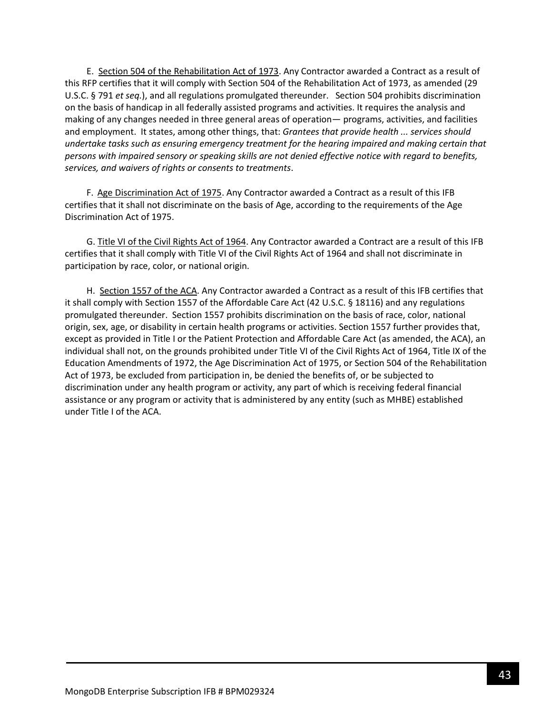E. Section 504 of the Rehabilitation Act of 1973. Any Contractor awarded a Contract as a result of this RFP certifies that it will comply with Section 504 of the Rehabilitation Act of 1973, as amended (29 U.S.C. § 791 *et seq.*), and all regulations promulgated thereunder. Section 504 prohibits discrimination on the basis of handicap in all federally assisted programs and activities. It requires the analysis and making of any changes needed in three general areas of operation— programs, activities, and facilities and employment. It states, among other things, that: *Grantees that provide health ... services should undertake tasks such as ensuring emergency treatment for the hearing impaired and making certain that persons with impaired sensory or speaking skills are not denied effective notice with regard to benefits, services, and waivers of rights or consents to treatments*.

F. Age Discrimination Act of 1975. Any Contractor awarded a Contract as a result of this IFB certifies that it shall not discriminate on the basis of Age, according to the requirements of the Age Discrimination Act of 1975.

G. Title VI of the Civil Rights Act of 1964. Any Contractor awarded a Contract are a result of this IFB certifies that it shall comply with Title VI of the Civil Rights Act of 1964 and shall not discriminate in participation by race, color, or national origin.

H. Section 1557 of the ACA. Any Contractor awarded a Contract as a result of this IFB certifies that it shall comply with Section 1557 of the Affordable Care Act (42 U.S.C. § 18116) and any regulations promulgated thereunder. Section 1557 prohibits discrimination on the basis of race, color, national origin, sex, age, or disability in certain health programs or activities. Section 1557 further provides that, except as provided in Title I or the Patient Protection and Affordable Care Act (as amended, the ACA), an individual shall not, on the grounds prohibited under Title VI of the Civil Rights Act of 1964, Title IX of the Education Amendments of 1972, the Age Discrimination Act of 1975, or Section 504 of the Rehabilitation Act of 1973, be excluded from participation in, be denied the benefits of, or be subjected to discrimination under any health program or activity, any part of which is receiving federal financial assistance or any program or activity that is administered by any entity (such as MHBE) established under Title I of the ACA.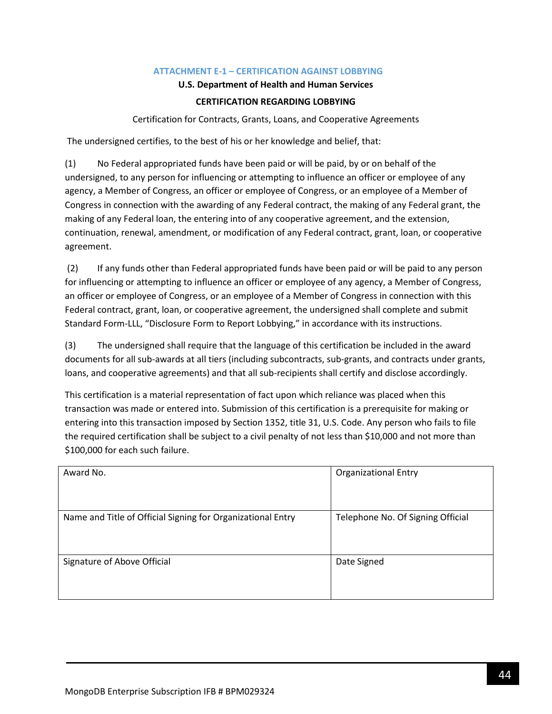### **ATTACHMENT E-1 – CERTIFICATION AGAINST LOBBYING**

#### **U.S. Department of Health and Human Services**

### **CERTIFICATION REGARDING LOBBYING**

Certification for Contracts, Grants, Loans, and Cooperative Agreements

<span id="page-43-0"></span>The undersigned certifies, to the best of his or her knowledge and belief, that:

(1) No Federal appropriated funds have been paid or will be paid, by or on behalf of the undersigned, to any person for influencing or attempting to influence an officer or employee of any agency, a Member of Congress, an officer or employee of Congress, or an employee of a Member of Congress in connection with the awarding of any Federal contract, the making of any Federal grant, the making of any Federal loan, the entering into of any cooperative agreement, and the extension, continuation, renewal, amendment, or modification of any Federal contract, grant, loan, or cooperative agreement.

(2) If any funds other than Federal appropriated funds have been paid or will be paid to any person for influencing or attempting to influence an officer or employee of any agency, a Member of Congress, an officer or employee of Congress, or an employee of a Member of Congress in connection with this Federal contract, grant, loan, or cooperative agreement, the undersigned shall complete and submit Standard Form-LLL, "Disclosure Form to Report Lobbying," in accordance with its instructions.

(3) The undersigned shall require that the language of this certification be included in the award documents for all sub-awards at all tiers (including subcontracts, sub-grants, and contracts under grants, loans, and cooperative agreements) and that all sub-recipients shall certify and disclose accordingly.

This certification is a material representation of fact upon which reliance was placed when this transaction was made or entered into. Submission of this certification is a prerequisite for making or entering into this transaction imposed by Section 1352, title 31, U.S. Code. Any person who fails to file the required certification shall be subject to a civil penalty of not less than \$10,000 and not more than \$100,000 for each such failure.

| Award No.                                                   | <b>Organizational Entry</b>       |
|-------------------------------------------------------------|-----------------------------------|
| Name and Title of Official Signing for Organizational Entry | Telephone No. Of Signing Official |
| Signature of Above Official                                 | Date Signed                       |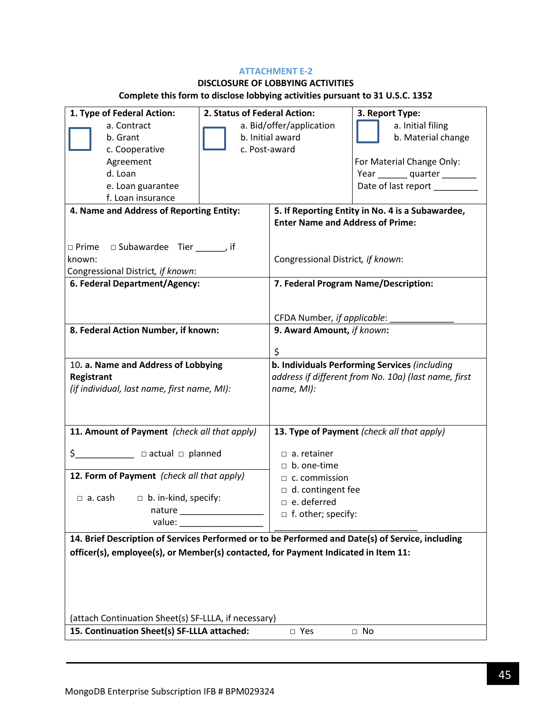### **ATTACHMENT E-2**

# **DISCLOSURE OF LOBBYING ACTIVITIES**

# **Complete this form to disclose lobbying activities pursuant to 31 U.S.C. 1352**

| 1. Type of Federal Action:                                                                       | 2. Status of Federal Action: |                                                      | 3. Report Type:                                  |
|--------------------------------------------------------------------------------------------------|------------------------------|------------------------------------------------------|--------------------------------------------------|
| a. Contract                                                                                      | a. Bid/offer/application     |                                                      | a. Initial filing                                |
| b. Grant                                                                                         | b. Initial award             |                                                      | b. Material change                               |
| c. Cooperative                                                                                   | c. Post-award                |                                                      |                                                  |
| Agreement                                                                                        |                              |                                                      | For Material Change Only:                        |
| d. Loan                                                                                          |                              |                                                      | Year quarter                                     |
| e. Loan guarantee                                                                                |                              |                                                      | Date of last report ________                     |
| f. Loan insurance                                                                                |                              |                                                      |                                                  |
| 4. Name and Address of Reporting Entity:                                                         |                              |                                                      | 5. If Reporting Entity in No. 4 is a Subawardee, |
|                                                                                                  |                              | <b>Enter Name and Address of Prime:</b>              |                                                  |
|                                                                                                  |                              |                                                      |                                                  |
| $\Box$ Prime $\Box$ Subawardee Tier ______, if                                                   |                              |                                                      |                                                  |
| known:                                                                                           |                              | Congressional District, if known:                    |                                                  |
| Congressional District, if known:                                                                |                              |                                                      |                                                  |
| 6. Federal Department/Agency:                                                                    |                              |                                                      | 7. Federal Program Name/Description:             |
|                                                                                                  |                              |                                                      |                                                  |
|                                                                                                  |                              |                                                      |                                                  |
|                                                                                                  |                              | CFDA Number, if applicable:                          |                                                  |
| 8. Federal Action Number, if known:                                                              |                              | 9. Award Amount, if known:                           |                                                  |
|                                                                                                  |                              |                                                      |                                                  |
|                                                                                                  |                              | \$                                                   |                                                  |
| 10. a. Name and Address of Lobbying                                                              |                              |                                                      | b. Individuals Performing Services (including    |
| Registrant                                                                                       |                              | address if different from No. 10a) (last name, first |                                                  |
| (if individual, last name, first name, MI):                                                      |                              | name, MI):                                           |                                                  |
|                                                                                                  |                              |                                                      |                                                  |
|                                                                                                  |                              |                                                      |                                                  |
| 11. Amount of Payment (check all that apply)                                                     |                              |                                                      | 13. Type of Payment (check all that apply)       |
|                                                                                                  |                              |                                                      |                                                  |
|                                                                                                  |                              | $\Box$ a. retainer                                   |                                                  |
|                                                                                                  |                              | $\Box$ b. one-time                                   |                                                  |
| 12. Form of Payment (check all that apply)                                                       |                              | $\Box$ c. commission                                 |                                                  |
| $\Box$ a. cash                                                                                   |                              | $\Box$ d. contingent fee                             |                                                  |
| $\Box$ b. in-kind, specify:<br>nature                                                            |                              | $\Box$ e. deferred                                   |                                                  |
| value:                                                                                           |                              | $\Box$ f. other; specify:                            |                                                  |
|                                                                                                  |                              |                                                      |                                                  |
| 14. Brief Description of Services Performed or to be Performed and Date(s) of Service, including |                              |                                                      |                                                  |
| officer(s), employee(s), or Member(s) contacted, for Payment Indicated in Item 11:               |                              |                                                      |                                                  |
|                                                                                                  |                              |                                                      |                                                  |
|                                                                                                  |                              |                                                      |                                                  |
|                                                                                                  |                              |                                                      |                                                  |
|                                                                                                  |                              |                                                      |                                                  |
| (attach Continuation Sheet(s) SF-LLLA, if necessary)                                             |                              |                                                      |                                                  |
| 15. Continuation Sheet(s) SF-LLLA attached:<br>□ Yes                                             |                              | $\Box$ No                                            |                                                  |
|                                                                                                  |                              |                                                      |                                                  |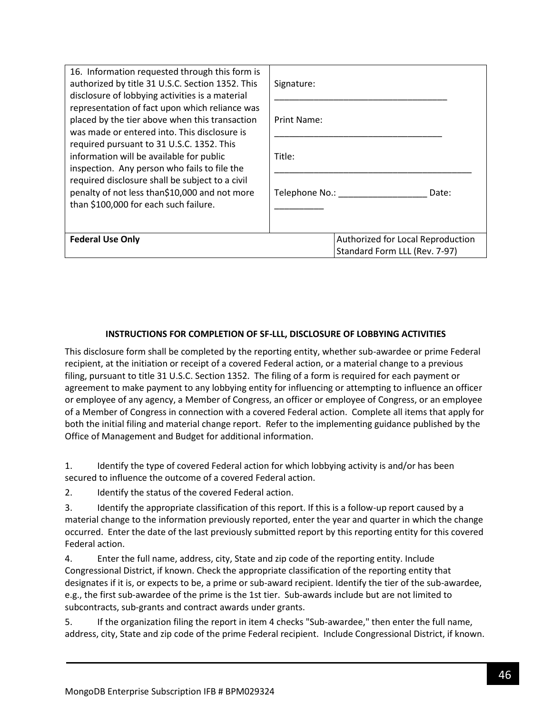| 16. Information requested through this form is<br>authorized by title 31 U.S.C. Section 1352. This<br>disclosure of lobbying activities is a material                                                                                                                                                                                                                                                                                  | Signature:                                                         |  |
|----------------------------------------------------------------------------------------------------------------------------------------------------------------------------------------------------------------------------------------------------------------------------------------------------------------------------------------------------------------------------------------------------------------------------------------|--------------------------------------------------------------------|--|
| representation of fact upon which reliance was<br>placed by the tier above when this transaction<br>was made or entered into. This disclosure is<br>required pursuant to 31 U.S.C. 1352. This<br>information will be available for public<br>inspection. Any person who fails to file the<br>required disclosure shall be subject to a civil<br>penalty of not less than\$10,000 and not more<br>than \$100,000 for each such failure. | Print Name:                                                        |  |
|                                                                                                                                                                                                                                                                                                                                                                                                                                        | Title:                                                             |  |
|                                                                                                                                                                                                                                                                                                                                                                                                                                        | Telephone No.:<br>Date:                                            |  |
| <b>Federal Use Only</b>                                                                                                                                                                                                                                                                                                                                                                                                                | Authorized for Local Reproduction<br>Standard Form LLL (Rev. 7-97) |  |

### **INSTRUCTIONS FOR COMPLETION OF SF-LLL, DISCLOSURE OF LOBBYING ACTIVITIES**

This disclosure form shall be completed by the reporting entity, whether sub-awardee or prime Federal recipient, at the initiation or receipt of a covered Federal action, or a material change to a previous filing, pursuant to title 31 U.S.C. Section 1352. The filing of a form is required for each payment or agreement to make payment to any lobbying entity for influencing or attempting to influence an officer or employee of any agency, a Member of Congress, an officer or employee of Congress, or an employee of a Member of Congress in connection with a covered Federal action. Complete all items that apply for both the initial filing and material change report. Refer to the implementing guidance published by the Office of Management and Budget for additional information.

1. Identify the type of covered Federal action for which lobbying activity is and/or has been secured to influence the outcome of a covered Federal action.

2. Identify the status of the covered Federal action.

3. Identify the appropriate classification of this report. If this is a follow-up report caused by a material change to the information previously reported, enter the year and quarter in which the change occurred. Enter the date of the last previously submitted report by this reporting entity for this covered Federal action.

4. Enter the full name, address, city, State and zip code of the reporting entity. Include Congressional District, if known. Check the appropriate classification of the reporting entity that designates if it is, or expects to be, a prime or sub-award recipient. Identify the tier of the sub-awardee, e.g., the first sub-awardee of the prime is the 1st tier. Sub-awards include but are not limited to subcontracts, sub-grants and contract awards under grants.

5. If the organization filing the report in item 4 checks "Sub-awardee," then enter the full name, address, city, State and zip code of the prime Federal recipient. Include Congressional District, if known.